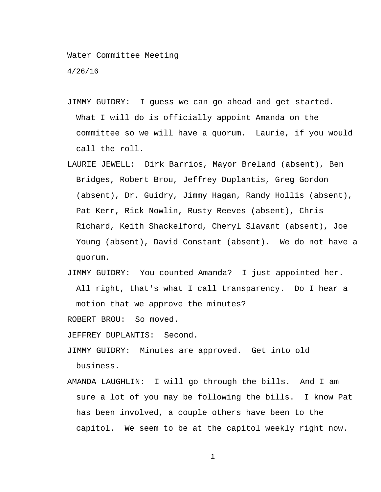Water Committee Meeting

4/26/16

- JIMMY GUIDRY: I guess we can go ahead and get started. What I will do is officially appoint Amanda on the committee so we will have a quorum. Laurie, if you would call the roll.
- LAURIE JEWELL: Dirk Barrios, Mayor Breland (absent), Ben Bridges, Robert Brou, Jeffrey Duplantis, Greg Gordon (absent), Dr. Guidry, Jimmy Hagan, Randy Hollis (absent), Pat Kerr, Rick Nowlin, Rusty Reeves (absent), Chris Richard, Keith Shackelford, Cheryl Slavant (absent), Joe Young (absent), David Constant (absent). We do not have a quorum.
- JIMMY GUIDRY: You counted Amanda? I just appointed her. All right, that's what I call transparency. Do I hear a motion that we approve the minutes?

ROBERT BROU: So moved.

JEFFREY DUPLANTIS: Second.

JIMMY GUIDRY: Minutes are approved. Get into old business.

AMANDA LAUGHLIN: I will go through the bills. And I am sure a lot of you may be following the bills. I know Pat has been involved, a couple others have been to the capitol. We seem to be at the capitol weekly right now.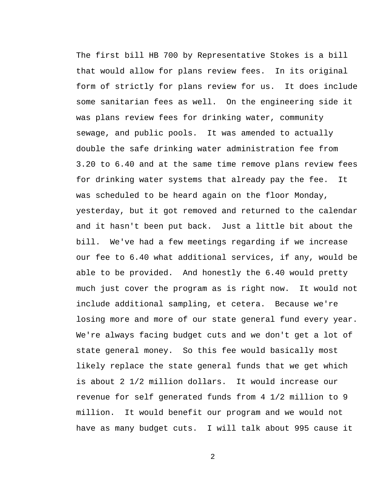The first bill HB 700 by Representative Stokes is a bill that would allow for plans review fees. In its original form of strictly for plans review for us. It does include some sanitarian fees as well. On the engineering side it was plans review fees for drinking water, community sewage, and public pools. It was amended to actually double the safe drinking water administration fee from 3.20 to 6.40 and at the same time remove plans review fees for drinking water systems that already pay the fee. It was scheduled to be heard again on the floor Monday, yesterday, but it got removed and returned to the calendar and it hasn't been put back. Just a little bit about the bill. We've had a few meetings regarding if we increase our fee to 6.40 what additional services, if any, would be able to be provided. And honestly the 6.40 would pretty much just cover the program as is right now. It would not include additional sampling, et cetera. Because we're losing more and more of our state general fund every year. We're always facing budget cuts and we don't get a lot of state general money. So this fee would basically most likely replace the state general funds that we get which is about 2 1/2 million dollars. It would increase our revenue for self generated funds from 4 1/2 million to 9 million. It would benefit our program and we would not have as many budget cuts. I will talk about 995 cause it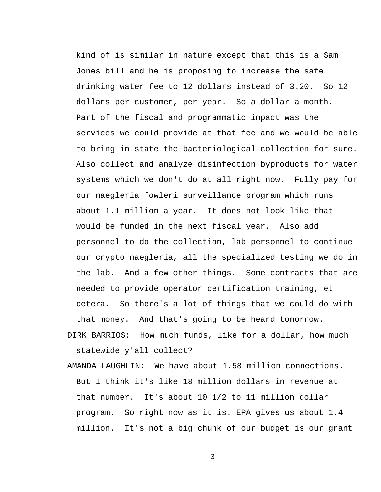kind of is similar in nature except that this is a Sam Jones bill and he is proposing to increase the safe drinking water fee to 12 dollars instead of 3.20. So 12 dollars per customer, per year. So a dollar a month. Part of the fiscal and programmatic impact was the services we could provide at that fee and we would be able to bring in state the bacteriological collection for sure. Also collect and analyze disinfection byproducts for water systems which we don't do at all right now. Fully pay for our naegleria fowleri surveillance program which runs about 1.1 million a year. It does not look like that would be funded in the next fiscal year. Also add personnel to do the collection, lab personnel to continue our crypto naegleria, all the specialized testing we do in the lab. And a few other things. Some contracts that are needed to provide operator certification training, et cetera. So there's a lot of things that we could do with that money. And that's going to be heard tomorrow.

- DIRK BARRIOS: How much funds, like for a dollar, how much statewide y'all collect?
- AMANDA LAUGHLIN: We have about 1.58 million connections. But I think it's like 18 million dollars in revenue at that number. It's about 10 1/2 to 11 million dollar program. So right now as it is. EPA gives us about 1.4 million. It's not a big chunk of our budget is our grant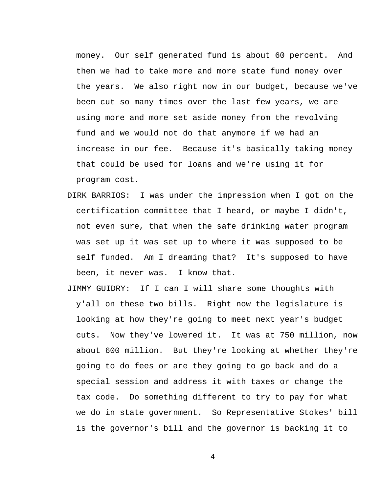money. Our self generated fund is about 60 percent. And then we had to take more and more state fund money over the years. We also right now in our budget, because we've been cut so many times over the last few years, we are using more and more set aside money from the revolving fund and we would not do that anymore if we had an increase in our fee. Because it's basically taking money that could be used for loans and we're using it for program cost.

- DIRK BARRIOS: I was under the impression when I got on the certification committee that I heard, or maybe I didn't, not even sure, that when the safe drinking water program was set up it was set up to where it was supposed to be self funded. Am I dreaming that? It's supposed to have been, it never was. I know that.
- JIMMY GUIDRY: If I can I will share some thoughts with y'all on these two bills. Right now the legislature is looking at how they're going to meet next year's budget cuts. Now they've lowered it. It was at 750 million, now about 600 million. But they're looking at whether they're going to do fees or are they going to go back and do a special session and address it with taxes or change the tax code. Do something different to try to pay for what we do in state government. So Representative Stokes' bill is the governor's bill and the governor is backing it to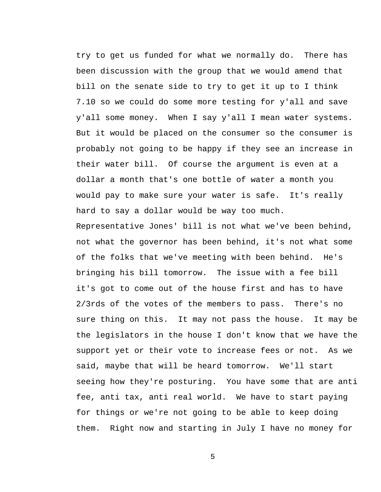try to get us funded for what we normally do. There has been discussion with the group that we would amend that bill on the senate side to try to get it up to I think 7.10 so we could do some more testing for y'all and save y'all some money. When I say y'all I mean water systems. But it would be placed on the consumer so the consumer is probably not going to be happy if they see an increase in their water bill. Of course the argument is even at a dollar a month that's one bottle of water a month you would pay to make sure your water is safe. It's really hard to say a dollar would be way too much.

Representative Jones' bill is not what we've been behind, not what the governor has been behind, it's not what some of the folks that we've meeting with been behind. He's bringing his bill tomorrow. The issue with a fee bill it's got to come out of the house first and has to have 2/3rds of the votes of the members to pass. There's no sure thing on this. It may not pass the house. It may be the legislators in the house I don't know that we have the support yet or their vote to increase fees or not. As we said, maybe that will be heard tomorrow. We'll start seeing how they're posturing. You have some that are anti fee, anti tax, anti real world. We have to start paying for things or we're not going to be able to keep doing them. Right now and starting in July I have no money for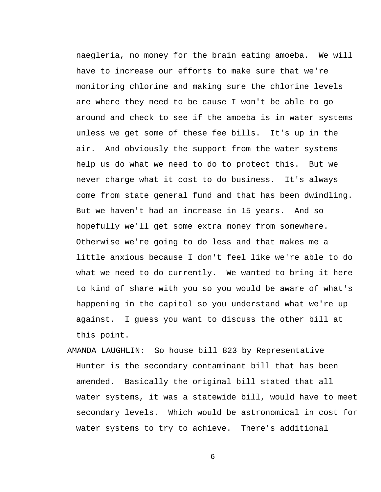naegleria, no money for the brain eating amoeba. We will have to increase our efforts to make sure that we're monitoring chlorine and making sure the chlorine levels are where they need to be cause I won't be able to go around and check to see if the amoeba is in water systems unless we get some of these fee bills. It's up in the air. And obviously the support from the water systems help us do what we need to do to protect this. But we never charge what it cost to do business. It's always come from state general fund and that has been dwindling. But we haven't had an increase in 15 years. And so hopefully we'll get some extra money from somewhere. Otherwise we're going to do less and that makes me a little anxious because I don't feel like we're able to do what we need to do currently. We wanted to bring it here to kind of share with you so you would be aware of what's happening in the capitol so you understand what we're up against. I guess you want to discuss the other bill at this point.

AMANDA LAUGHLIN: So house bill 823 by Representative Hunter is the secondary contaminant bill that has been amended. Basically the original bill stated that all water systems, it was a statewide bill, would have to meet secondary levels. Which would be astronomical in cost for water systems to try to achieve. There's additional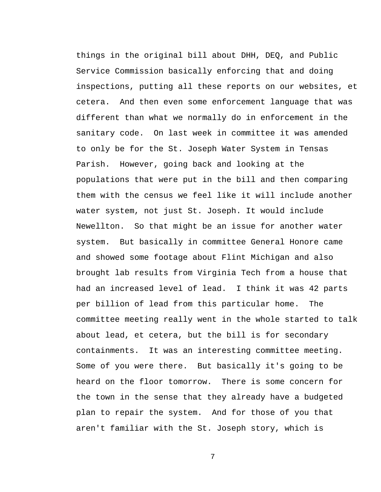things in the original bill about DHH, DEQ, and Public Service Commission basically enforcing that and doing inspections, putting all these reports on our websites, et cetera. And then even some enforcement language that was different than what we normally do in enforcement in the sanitary code. On last week in committee it was amended to only be for the St. Joseph Water System in Tensas Parish. However, going back and looking at the populations that were put in the bill and then comparing them with the census we feel like it will include another water system, not just St. Joseph. It would include Newellton. So that might be an issue for another water system. But basically in committee General Honore came and showed some footage about Flint Michigan and also brought lab results from Virginia Tech from a house that had an increased level of lead. I think it was 42 parts per billion of lead from this particular home. The committee meeting really went in the whole started to talk about lead, et cetera, but the bill is for secondary containments. It was an interesting committee meeting. Some of you were there. But basically it's going to be heard on the floor tomorrow. There is some concern for the town in the sense that they already have a budgeted plan to repair the system. And for those of you that aren't familiar with the St. Joseph story, which is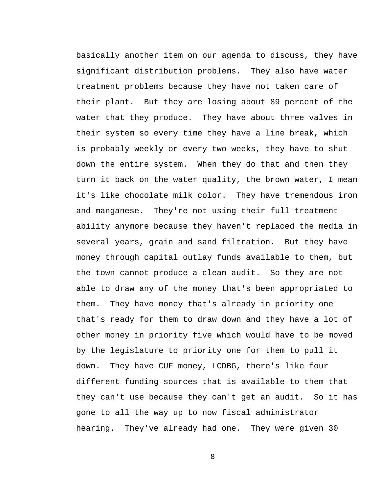basically another item on our agenda to discuss, they have significant distribution problems. They also have water treatment problems because they have not taken care of their plant. But they are losing about 89 percent of the water that they produce. They have about three valves in their system so every time they have a line break, which is probably weekly or every two weeks, they have to shut down the entire system. When they do that and then they turn it back on the water quality, the brown water, I mean it's like chocolate milk color. They have tremendous iron and manganese. They're not using their full treatment ability anymore because they haven't replaced the media in several years, grain and sand filtration. But they have money through capital outlay funds available to them, but the town cannot produce a clean audit. So they are not able to draw any of the money that's been appropriated to them. They have money that's already in priority one that's ready for them to draw down and they have a lot of other money in priority five which would have to be moved by the legislature to priority one for them to pull it down. They have CUF money, LCDBG, there's like four different funding sources that is available to them that they can't use because they can't get an audit. So it has gone to all the way up to now fiscal administrator hearing. They've already had one. They were given 30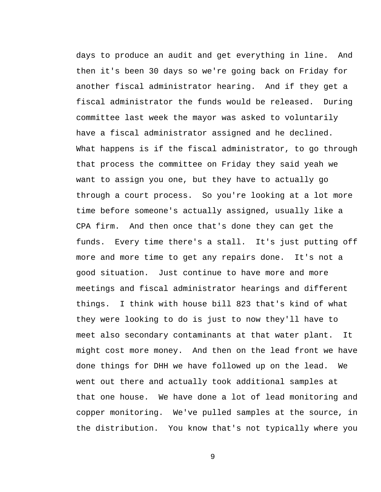days to produce an audit and get everything in line. And then it's been 30 days so we're going back on Friday for another fiscal administrator hearing. And if they get a fiscal administrator the funds would be released. During committee last week the mayor was asked to voluntarily have a fiscal administrator assigned and he declined. What happens is if the fiscal administrator, to go through that process the committee on Friday they said yeah we want to assign you one, but they have to actually go through a court process. So you're looking at a lot more time before someone's actually assigned, usually like a CPA firm. And then once that's done they can get the funds. Every time there's a stall. It's just putting off more and more time to get any repairs done. It's not a good situation. Just continue to have more and more meetings and fiscal administrator hearings and different things. I think with house bill 823 that's kind of what they were looking to do is just to now they'll have to meet also secondary contaminants at that water plant. It might cost more money. And then on the lead front we have done things for DHH we have followed up on the lead. We went out there and actually took additional samples at that one house. We have done a lot of lead monitoring and copper monitoring. We've pulled samples at the source, in the distribution. You know that's not typically where you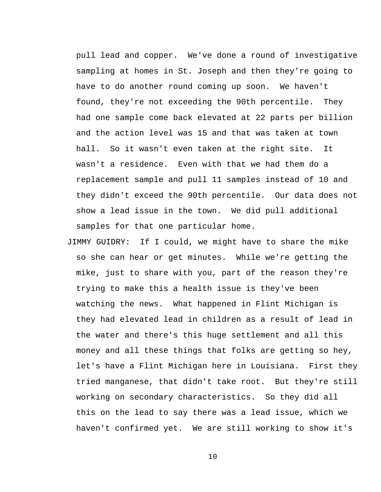pull lead and copper. We've done a round of investigative sampling at homes in St. Joseph and then they're going to have to do another round coming up soon. We haven't found, they're not exceeding the 90th percentile. They had one sample come back elevated at 22 parts per billion and the action level was 15 and that was taken at town hall. So it wasn't even taken at the right site. It wasn't a residence. Even with that we had them do a replacement sample and pull 11 samples instead of 10 and they didn't exceed the 90th percentile. Our data does not show a lead issue in the town. We did pull additional samples for that one particular home.

JIMMY GUIDRY: If I could, we might have to share the mike so she can hear or get minutes. While we're getting the mike, just to share with you, part of the reason they're trying to make this a health issue is they've been watching the news. What happened in Flint Michigan is they had elevated lead in children as a result of lead in the water and there's this huge settlement and all this money and all these things that folks are getting so hey, let's have a Flint Michigan here in Louisiana. First they tried manganese, that didn't take root. But they're still working on secondary characteristics. So they did all this on the lead to say there was a lead issue, which we haven't confirmed yet. We are still working to show it's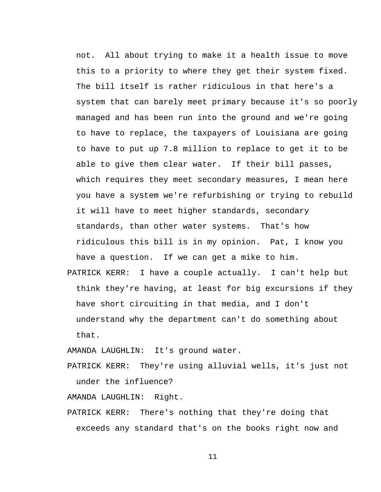not. All about trying to make it a health issue to move this to a priority to where they get their system fixed. The bill itself is rather ridiculous in that here's a system that can barely meet primary because it's so poorly managed and has been run into the ground and we're going to have to replace, the taxpayers of Louisiana are going to have to put up 7.8 million to replace to get it to be able to give them clear water. If their bill passes, which requires they meet secondary measures, I mean here you have a system we're refurbishing or trying to rebuild it will have to meet higher standards, secondary standards, than other water systems. That's how ridiculous this bill is in my opinion. Pat, I know you have a question. If we can get a mike to him. PATRICK KERR: I have a couple actually. I can't help but think they're having, at least for big excursions if they have short circuiting in that media, and I don't understand why the department can't do something about that.

AMANDA LAUGHLIN: It's ground water.

PATRICK KERR: They're using alluvial wells, it's just not under the influence?

AMANDA LAUGHLIN: Right.

PATRICK KERR: There's nothing that they're doing that exceeds any standard that's on the books right now and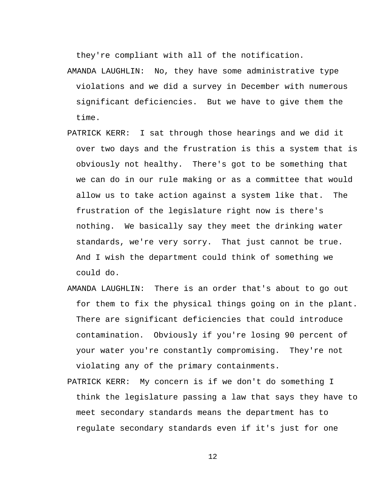they're compliant with all of the notification.

- AMANDA LAUGHLIN: No, they have some administrative type violations and we did a survey in December with numerous significant deficiencies. But we have to give them the time.
- PATRICK KERR: I sat through those hearings and we did it over two days and the frustration is this a system that is obviously not healthy. There's got to be something that we can do in our rule making or as a committee that would allow us to take action against a system like that. The frustration of the legislature right now is there's nothing. We basically say they meet the drinking water standards, we're very sorry. That just cannot be true. And I wish the department could think of something we could do.
- AMANDA LAUGHLIN: There is an order that's about to go out for them to fix the physical things going on in the plant. There are significant deficiencies that could introduce contamination. Obviously if you're losing 90 percent of your water you're constantly compromising. They're not violating any of the primary containments.
- PATRICK KERR: My concern is if we don't do something I think the legislature passing a law that says they have to meet secondary standards means the department has to regulate secondary standards even if it's just for one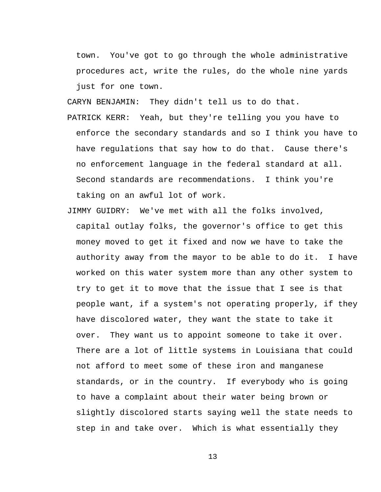town. You've got to go through the whole administrative procedures act, write the rules, do the whole nine yards just for one town.

CARYN BENJAMIN: They didn't tell us to do that.

- PATRICK KERR: Yeah, but they're telling you you have to enforce the secondary standards and so I think you have to have regulations that say how to do that. Cause there's no enforcement language in the federal standard at all. Second standards are recommendations. I think you're taking on an awful lot of work.
- JIMMY GUIDRY: We've met with all the folks involved, capital outlay folks, the governor's office to get this money moved to get it fixed and now we have to take the authority away from the mayor to be able to do it. I have worked on this water system more than any other system to try to get it to move that the issue that I see is that people want, if a system's not operating properly, if they have discolored water, they want the state to take it over. They want us to appoint someone to take it over. There are a lot of little systems in Louisiana that could not afford to meet some of these iron and manganese standards, or in the country. If everybody who is going to have a complaint about their water being brown or slightly discolored starts saying well the state needs to step in and take over. Which is what essentially they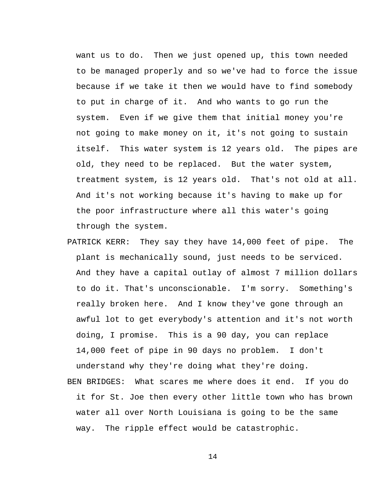want us to do. Then we just opened up, this town needed to be managed properly and so we've had to force the issue because if we take it then we would have to find somebody to put in charge of it. And who wants to go run the system. Even if we give them that initial money you're not going to make money on it, it's not going to sustain itself. This water system is 12 years old. The pipes are old, they need to be replaced. But the water system, treatment system, is 12 years old. That's not old at all. And it's not working because it's having to make up for the poor infrastructure where all this water's going through the system.

- PATRICK KERR: They say they have 14,000 feet of pipe. The plant is mechanically sound, just needs to be serviced. And they have a capital outlay of almost 7 million dollars to do it. That's unconscionable. I'm sorry. Something's really broken here. And I know they've gone through an awful lot to get everybody's attention and it's not worth doing, I promise. This is a 90 day, you can replace 14,000 feet of pipe in 90 days no problem. I don't understand why they're doing what they're doing.
- BEN BRIDGES: What scares me where does it end. If you do it for St. Joe then every other little town who has brown water all over North Louisiana is going to be the same way. The ripple effect would be catastrophic.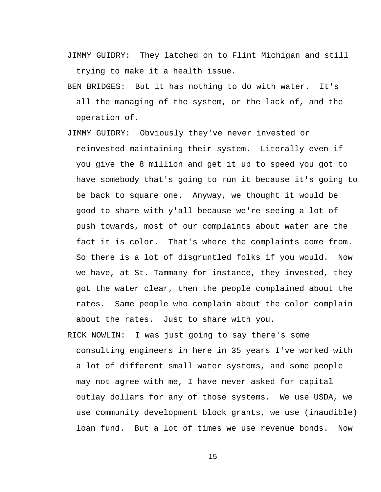- JIMMY GUIDRY: They latched on to Flint Michigan and still trying to make it a health issue.
- BEN BRIDGES: But it has nothing to do with water. It's all the managing of the system, or the lack of, and the operation of.
- JIMMY GUIDRY: Obviously they've never invested or reinvested maintaining their system. Literally even if you give the 8 million and get it up to speed you got to have somebody that's going to run it because it's going to be back to square one. Anyway, we thought it would be good to share with y'all because we're seeing a lot of push towards, most of our complaints about water are the fact it is color. That's where the complaints come from. So there is a lot of disgruntled folks if you would. Now we have, at St. Tammany for instance, they invested, they got the water clear, then the people complained about the rates. Same people who complain about the color complain about the rates. Just to share with you.
- RICK NOWLIN: I was just going to say there's some consulting engineers in here in 35 years I've worked with a lot of different small water systems, and some people may not agree with me, I have never asked for capital outlay dollars for any of those systems. We use USDA, we use community development block grants, we use (inaudible) loan fund. But a lot of times we use revenue bonds. Now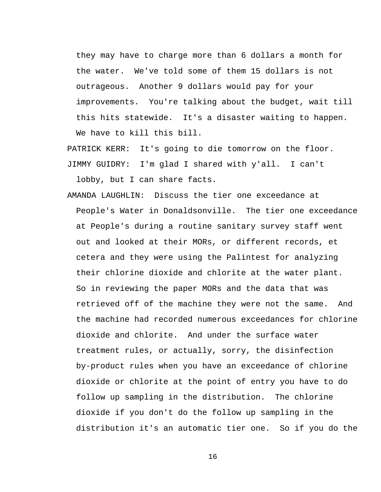they may have to charge more than 6 dollars a month for the water. We've told some of them 15 dollars is not outrageous. Another 9 dollars would pay for your improvements. You're talking about the budget, wait till this hits statewide. It's a disaster waiting to happen. We have to kill this bill.

PATRICK KERR: It's going to die tomorrow on the floor. JIMMY GUIDRY: I'm glad I shared with y'all. I can't

lobby, but I can share facts.

AMANDA LAUGHLIN: Discuss the tier one exceedance at People's Water in Donaldsonville. The tier one exceedance at People's during a routine sanitary survey staff went out and looked at their MORs, or different records, et cetera and they were using the Palintest for analyzing their chlorine dioxide and chlorite at the water plant. So in reviewing the paper MORs and the data that was retrieved off of the machine they were not the same. And the machine had recorded numerous exceedances for chlorine dioxide and chlorite. And under the surface water treatment rules, or actually, sorry, the disinfection by-product rules when you have an exceedance of chlorine dioxide or chlorite at the point of entry you have to do follow up sampling in the distribution. The chlorine dioxide if you don't do the follow up sampling in the distribution it's an automatic tier one. So if you do the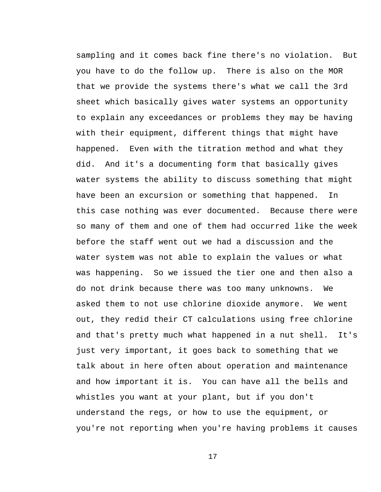sampling and it comes back fine there's no violation. But you have to do the follow up. There is also on the MOR that we provide the systems there's what we call the 3rd sheet which basically gives water systems an opportunity to explain any exceedances or problems they may be having with their equipment, different things that might have happened. Even with the titration method and what they did. And it's a documenting form that basically gives water systems the ability to discuss something that might have been an excursion or something that happened. In this case nothing was ever documented. Because there were so many of them and one of them had occurred like the week before the staff went out we had a discussion and the water system was not able to explain the values or what was happening. So we issued the tier one and then also a do not drink because there was too many unknowns. We asked them to not use chlorine dioxide anymore. We went out, they redid their CT calculations using free chlorine and that's pretty much what happened in a nut shell. It's just very important, it goes back to something that we talk about in here often about operation and maintenance and how important it is. You can have all the bells and whistles you want at your plant, but if you don't understand the regs, or how to use the equipment, or you're not reporting when you're having problems it causes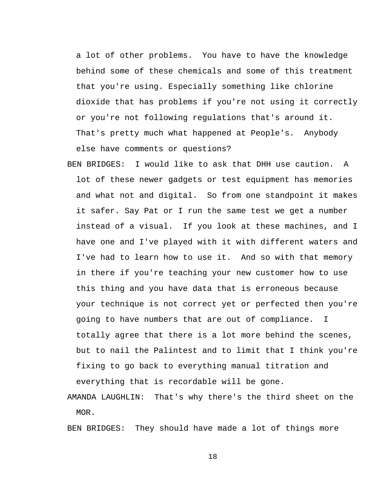a lot of other problems. You have to have the knowledge behind some of these chemicals and some of this treatment that you're using. Especially something like chlorine dioxide that has problems if you're not using it correctly or you're not following regulations that's around it. That's pretty much what happened at People's. Anybody else have comments or questions?

BEN BRIDGES: I would like to ask that DHH use caution. A lot of these newer gadgets or test equipment has memories and what not and digital. So from one standpoint it makes it safer. Say Pat or I run the same test we get a number instead of a visual. If you look at these machines, and I have one and I've played with it with different waters and I've had to learn how to use it. And so with that memory in there if you're teaching your new customer how to use this thing and you have data that is erroneous because your technique is not correct yet or perfected then you're going to have numbers that are out of compliance. I totally agree that there is a lot more behind the scenes, but to nail the Palintest and to limit that I think you're fixing to go back to everything manual titration and everything that is recordable will be gone.

AMANDA LAUGHLIN: That's why there's the third sheet on the MOR.

BEN BRIDGES: They should have made a lot of things more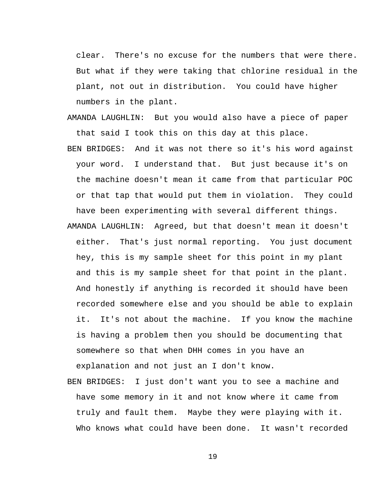clear. There's no excuse for the numbers that were there. But what if they were taking that chlorine residual in the plant, not out in distribution. You could have higher numbers in the plant.

- AMANDA LAUGHLIN: But you would also have a piece of paper that said I took this on this day at this place.
- BEN BRIDGES: And it was not there so it's his word against your word. I understand that. But just because it's on the machine doesn't mean it came from that particular POC or that tap that would put them in violation. They could have been experimenting with several different things.
- AMANDA LAUGHLIN: Agreed, but that doesn't mean it doesn't either. That's just normal reporting. You just document hey, this is my sample sheet for this point in my plant and this is my sample sheet for that point in the plant. And honestly if anything is recorded it should have been recorded somewhere else and you should be able to explain it. It's not about the machine. If you know the machine is having a problem then you should be documenting that somewhere so that when DHH comes in you have an explanation and not just an I don't know.
- BEN BRIDGES: I just don't want you to see a machine and have some memory in it and not know where it came from truly and fault them. Maybe they were playing with it. Who knows what could have been done. It wasn't recorded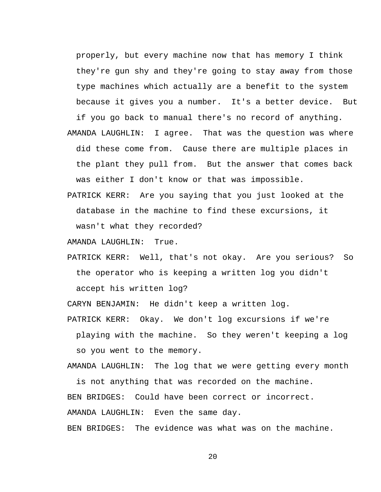properly, but every machine now that has memory I think they're gun shy and they're going to stay away from those type machines which actually are a benefit to the system because it gives you a number. It's a better device. But

if you go back to manual there's no record of anything. AMANDA LAUGHLIN: I agree. That was the question was where did these come from. Cause there are multiple places in the plant they pull from. But the answer that comes back was either I don't know or that was impossible.

PATRICK KERR: Are you saying that you just looked at the database in the machine to find these excursions, it wasn't what they recorded?

AMANDA LAUGHLIN: True.

PATRICK KERR: Well, that's not okay. Are you serious? So the operator who is keeping a written log you didn't accept his written log?

CARYN BENJAMIN: He didn't keep a written log.

playing with the machine. So they weren't keeping a log so you went to the memory.

PATRICK KERR: Okay. We don't log excursions if we're

AMANDA LAUGHLIN: The log that we were getting every month

is not anything that was recorded on the machine. BEN BRIDGES: Could have been correct or incorrect. AMANDA LAUGHLIN: Even the same day.

BEN BRIDGES: The evidence was what was on the machine.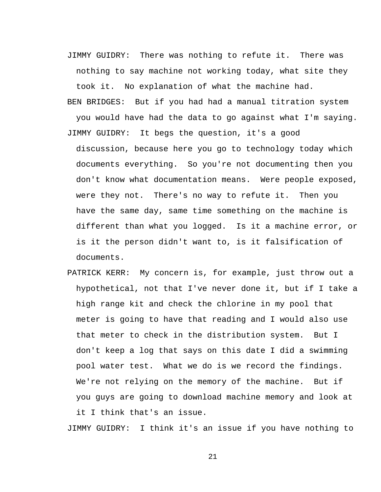- JIMMY GUIDRY: There was nothing to refute it. There was nothing to say machine not working today, what site they took it. No explanation of what the machine had.
- BEN BRIDGES: But if you had had a manual titration system you would have had the data to go against what I'm saying. JIMMY GUIDRY: It begs the question, it's a good

discussion, because here you go to technology today which documents everything. So you're not documenting then you don't know what documentation means. Were people exposed, were they not. There's no way to refute it. Then you have the same day, same time something on the machine is different than what you logged. Is it a machine error, or is it the person didn't want to, is it falsification of documents.

PATRICK KERR: My concern is, for example, just throw out a hypothetical, not that I've never done it, but if I take a high range kit and check the chlorine in my pool that meter is going to have that reading and I would also use that meter to check in the distribution system. But I don't keep a log that says on this date I did a swimming pool water test. What we do is we record the findings. We're not relying on the memory of the machine. But if you guys are going to download machine memory and look at it I think that's an issue.

JIMMY GUIDRY: I think it's an issue if you have nothing to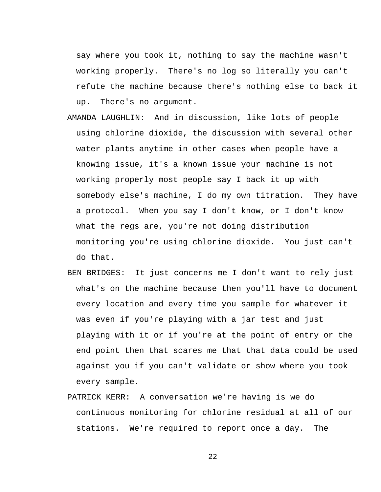say where you took it, nothing to say the machine wasn't working properly. There's no log so literally you can't refute the machine because there's nothing else to back it up. There's no argument.

- AMANDA LAUGHLIN: And in discussion, like lots of people using chlorine dioxide, the discussion with several other water plants anytime in other cases when people have a knowing issue, it's a known issue your machine is not working properly most people say I back it up with somebody else's machine, I do my own titration. They have a protocol. When you say I don't know, or I don't know what the regs are, you're not doing distribution monitoring you're using chlorine dioxide. You just can't do that.
- BEN BRIDGES: It just concerns me I don't want to rely just what's on the machine because then you'll have to document every location and every time you sample for whatever it was even if you're playing with a jar test and just playing with it or if you're at the point of entry or the end point then that scares me that that data could be used against you if you can't validate or show where you took every sample.
- PATRICK KERR: A conversation we're having is we do continuous monitoring for chlorine residual at all of our stations. We're required to report once a day. The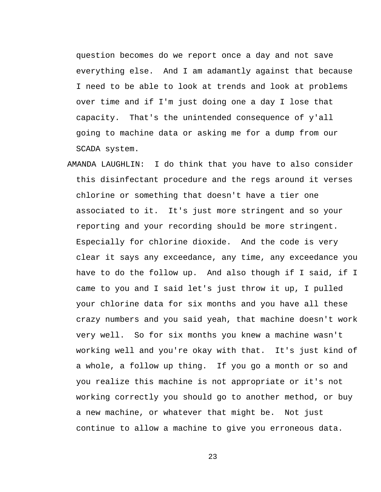question becomes do we report once a day and not save everything else. And I am adamantly against that because I need to be able to look at trends and look at problems over time and if I'm just doing one a day I lose that capacity. That's the unintended consequence of y'all going to machine data or asking me for a dump from our SCADA system.

AMANDA LAUGHLIN: I do think that you have to also consider this disinfectant procedure and the regs around it verses chlorine or something that doesn't have a tier one associated to it. It's just more stringent and so your reporting and your recording should be more stringent. Especially for chlorine dioxide. And the code is very clear it says any exceedance, any time, any exceedance you have to do the follow up. And also though if I said, if I came to you and I said let's just throw it up, I pulled your chlorine data for six months and you have all these crazy numbers and you said yeah, that machine doesn't work very well. So for six months you knew a machine wasn't working well and you're okay with that. It's just kind of a whole, a follow up thing. If you go a month or so and you realize this machine is not appropriate or it's not working correctly you should go to another method, or buy a new machine, or whatever that might be. Not just continue to allow a machine to give you erroneous data.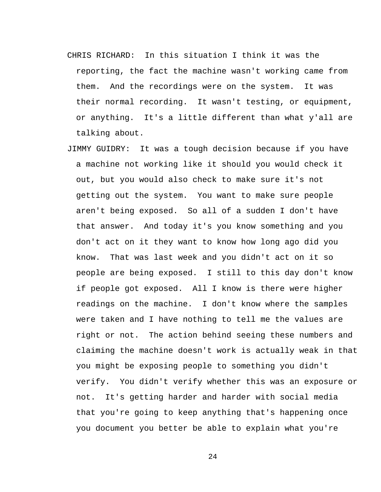- CHRIS RICHARD: In this situation I think it was the reporting, the fact the machine wasn't working came from them. And the recordings were on the system. It was their normal recording. It wasn't testing, or equipment, or anything. It's a little different than what y'all are talking about.
- JIMMY GUIDRY: It was a tough decision because if you have a machine not working like it should you would check it out, but you would also check to make sure it's not getting out the system. You want to make sure people aren't being exposed. So all of a sudden I don't have that answer. And today it's you know something and you don't act on it they want to know how long ago did you know. That was last week and you didn't act on it so people are being exposed. I still to this day don't know if people got exposed. All I know is there were higher readings on the machine. I don't know where the samples were taken and I have nothing to tell me the values are right or not. The action behind seeing these numbers and claiming the machine doesn't work is actually weak in that you might be exposing people to something you didn't verify. You didn't verify whether this was an exposure or not. It's getting harder and harder with social media that you're going to keep anything that's happening once you document you better be able to explain what you're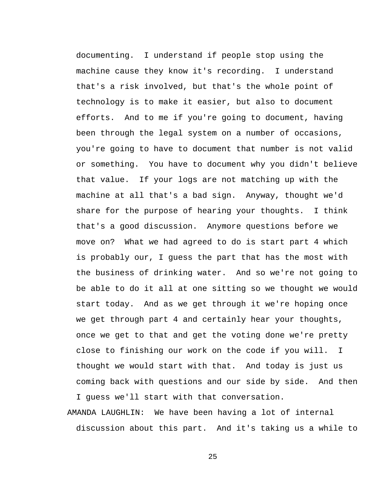documenting. I understand if people stop using the machine cause they know it's recording. I understand that's a risk involved, but that's the whole point of technology is to make it easier, but also to document efforts. And to me if you're going to document, having been through the legal system on a number of occasions, you're going to have to document that number is not valid or something. You have to document why you didn't believe that value. If your logs are not matching up with the machine at all that's a bad sign. Anyway, thought we'd share for the purpose of hearing your thoughts. I think that's a good discussion. Anymore questions before we move on? What we had agreed to do is start part 4 which is probably our, I guess the part that has the most with the business of drinking water. And so we're not going to be able to do it all at one sitting so we thought we would start today. And as we get through it we're hoping once we get through part 4 and certainly hear your thoughts, once we get to that and get the voting done we're pretty close to finishing our work on the code if you will. I thought we would start with that. And today is just us coming back with questions and our side by side. And then I guess we'll start with that conversation.

AMANDA LAUGHLIN: We have been having a lot of internal discussion about this part. And it's taking us a while to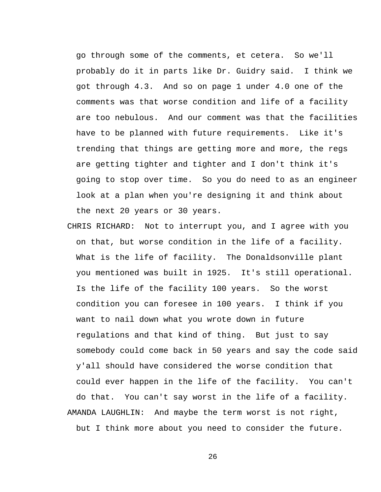go through some of the comments, et cetera. So we'll probably do it in parts like Dr. Guidry said. I think we got through 4.3. And so on page 1 under 4.0 one of the comments was that worse condition and life of a facility are too nebulous. And our comment was that the facilities have to be planned with future requirements. Like it's trending that things are getting more and more, the regs are getting tighter and tighter and I don't think it's going to stop over time. So you do need to as an engineer look at a plan when you're designing it and think about the next 20 years or 30 years.

CHRIS RICHARD: Not to interrupt you, and I agree with you on that, but worse condition in the life of a facility. What is the life of facility. The Donaldsonville plant you mentioned was built in 1925. It's still operational. Is the life of the facility 100 years. So the worst condition you can foresee in 100 years. I think if you want to nail down what you wrote down in future regulations and that kind of thing. But just to say somebody could come back in 50 years and say the code said y'all should have considered the worse condition that could ever happen in the life of the facility. You can't do that. You can't say worst in the life of a facility. AMANDA LAUGHLIN: And maybe the term worst is not right, but I think more about you need to consider the future.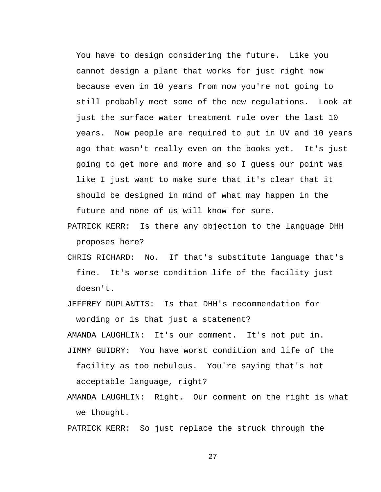You have to design considering the future. Like you cannot design a plant that works for just right now because even in 10 years from now you're not going to still probably meet some of the new regulations. Look at just the surface water treatment rule over the last 10 years. Now people are required to put in UV and 10 years ago that wasn't really even on the books yet. It's just going to get more and more and so I guess our point was like I just want to make sure that it's clear that it should be designed in mind of what may happen in the future and none of us will know for sure.

- PATRICK KERR: Is there any objection to the language DHH proposes here?
- CHRIS RICHARD: No. If that's substitute language that's fine. It's worse condition life of the facility just doesn't.

JEFFREY DUPLANTIS: Is that DHH's recommendation for wording or is that just a statement?

AMANDA LAUGHLIN: It's our comment. It's not put in.

- JIMMY GUIDRY: You have worst condition and life of the facility as too nebulous. You're saying that's not acceptable language, right?
- AMANDA LAUGHLIN: Right. Our comment on the right is what we thought.

PATRICK KERR: So just replace the struck through the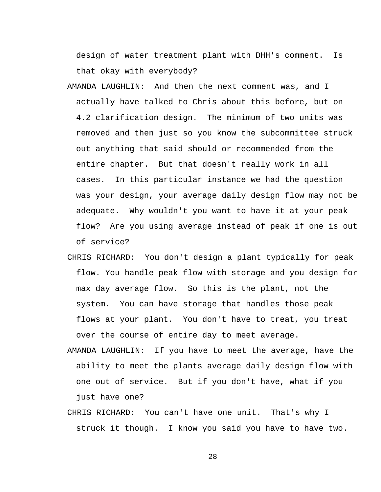design of water treatment plant with DHH's comment. Is that okay with everybody?

- AMANDA LAUGHLIN: And then the next comment was, and I actually have talked to Chris about this before, but on 4.2 clarification design. The minimum of two units was removed and then just so you know the subcommittee struck out anything that said should or recommended from the entire chapter. But that doesn't really work in all cases. In this particular instance we had the question was your design, your average daily design flow may not be adequate. Why wouldn't you want to have it at your peak flow? Are you using average instead of peak if one is out of service?
- CHRIS RICHARD: You don't design a plant typically for peak flow. You handle peak flow with storage and you design for max day average flow. So this is the plant, not the system. You can have storage that handles those peak flows at your plant. You don't have to treat, you treat over the course of entire day to meet average.
- AMANDA LAUGHLIN: If you have to meet the average, have the ability to meet the plants average daily design flow with one out of service. But if you don't have, what if you just have one?
- CHRIS RICHARD: You can't have one unit. That's why I struck it though. I know you said you have to have two.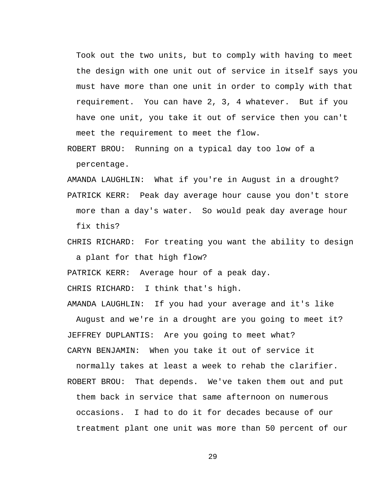Took out the two units, but to comply with having to meet the design with one unit out of service in itself says you must have more than one unit in order to comply with that requirement. You can have 2, 3, 4 whatever. But if you have one unit, you take it out of service then you can't meet the requirement to meet the flow.

ROBERT BROU: Running on a typical day too low of a percentage.

AMANDA LAUGHLIN: What if you're in August in a drought? PATRICK KERR: Peak day average hour cause you don't store more than a day's water. So would peak day average hour

fix this?

CHRIS RICHARD: For treating you want the ability to design a plant for that high flow?

PATRICK KERR: Average hour of a peak day.

CHRIS RICHARD: I think that's high.

AMANDA LAUGHLIN: If you had your average and it's like

August and we're in a drought are you going to meet it? JEFFREY DUPLANTIS: Are you going to meet what? CARYN BENJAMIN: When you take it out of service it

normally takes at least a week to rehab the clarifier. ROBERT BROU: That depends. We've taken them out and put them back in service that same afternoon on numerous occasions. I had to do it for decades because of our treatment plant one unit was more than 50 percent of our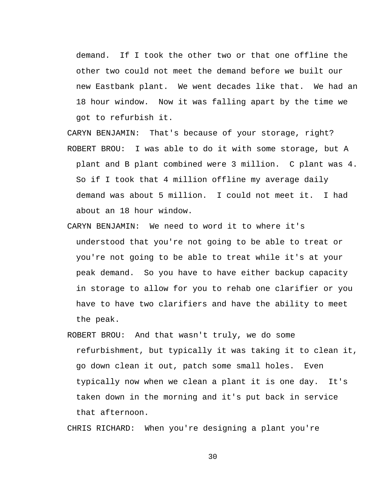demand. If I took the other two or that one offline the other two could not meet the demand before we built our new Eastbank plant. We went decades like that. We had an 18 hour window. Now it was falling apart by the time we got to refurbish it.

CARYN BENJAMIN: That's because of your storage, right? ROBERT BROU: I was able to do it with some storage, but A plant and B plant combined were 3 million. C plant was 4. So if I took that 4 million offline my average daily demand was about 5 million. I could not meet it. I had about an 18 hour window.

- CARYN BENJAMIN: We need to word it to where it's understood that you're not going to be able to treat or you're not going to be able to treat while it's at your peak demand. So you have to have either backup capacity in storage to allow for you to rehab one clarifier or you have to have two clarifiers and have the ability to meet the peak.
- ROBERT BROU: And that wasn't truly, we do some refurbishment, but typically it was taking it to clean it, go down clean it out, patch some small holes. Even typically now when we clean a plant it is one day. It's taken down in the morning and it's put back in service that afternoon.

CHRIS RICHARD: When you're designing a plant you're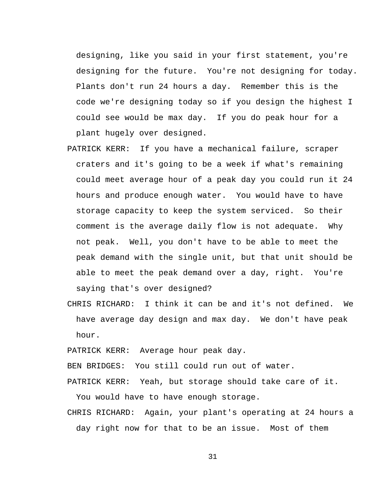designing, like you said in your first statement, you're designing for the future. You're not designing for today. Plants don't run 24 hours a day. Remember this is the code we're designing today so if you design the highest I could see would be max day. If you do peak hour for a plant hugely over designed.

PATRICK KERR: If you have a mechanical failure, scraper craters and it's going to be a week if what's remaining could meet average hour of a peak day you could run it 24 hours and produce enough water. You would have to have storage capacity to keep the system serviced. So their comment is the average daily flow is not adequate. Why not peak. Well, you don't have to be able to meet the peak demand with the single unit, but that unit should be able to meet the peak demand over a day, right. You're saying that's over designed?

CHRIS RICHARD: I think it can be and it's not defined. We have average day design and max day. We don't have peak hour.

PATRICK KERR: Average hour peak day.

BEN BRIDGES: You still could run out of water.

PATRICK KERR: Yeah, but storage should take care of it. You would have to have enough storage.

CHRIS RICHARD: Again, your plant's operating at 24 hours a day right now for that to be an issue. Most of them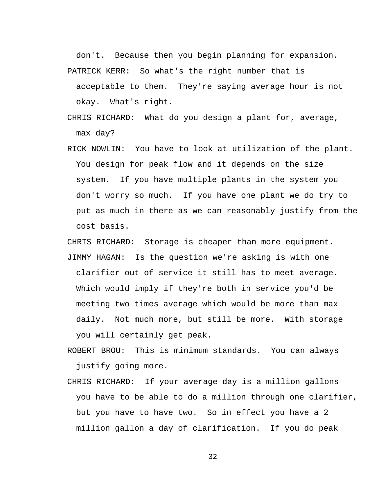don't. Because then you begin planning for expansion. PATRICK KERR: So what's the right number that is

acceptable to them. They're saying average hour is not okay. What's right.

- CHRIS RICHARD: What do you design a plant for, average, max day?
- RICK NOWLIN: You have to look at utilization of the plant. You design for peak flow and it depends on the size system. If you have multiple plants in the system you don't worry so much. If you have one plant we do try to put as much in there as we can reasonably justify from the cost basis.

CHRIS RICHARD: Storage is cheaper than more equipment. JIMMY HAGAN: Is the question we're asking is with one clarifier out of service it still has to meet average. Which would imply if they're both in service you'd be meeting two times average which would be more than max daily. Not much more, but still be more. With storage you will certainly get peak.

ROBERT BROU: This is minimum standards. You can always justify going more.

CHRIS RICHARD: If your average day is a million gallons you have to be able to do a million through one clarifier, but you have to have two. So in effect you have a 2 million gallon a day of clarification. If you do peak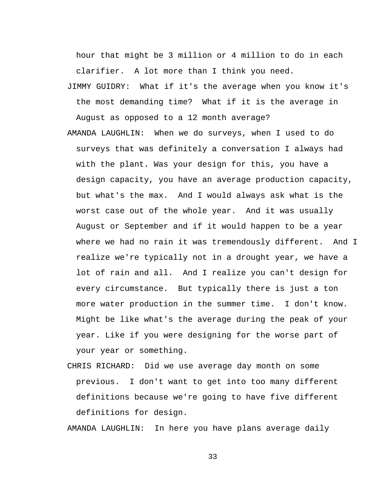hour that might be 3 million or 4 million to do in each clarifier. A lot more than I think you need.

- JIMMY GUIDRY: What if it's the average when you know it's the most demanding time? What if it is the average in August as opposed to a 12 month average?
- AMANDA LAUGHLIN: When we do surveys, when I used to do surveys that was definitely a conversation I always had with the plant. Was your design for this, you have a design capacity, you have an average production capacity, but what's the max. And I would always ask what is the worst case out of the whole year. And it was usually August or September and if it would happen to be a year where we had no rain it was tremendously different. And I realize we're typically not in a drought year, we have a lot of rain and all. And I realize you can't design for every circumstance. But typically there is just a ton more water production in the summer time. I don't know. Might be like what's the average during the peak of your year. Like if you were designing for the worse part of your year or something.
- CHRIS RICHARD: Did we use average day month on some previous. I don't want to get into too many different definitions because we're going to have five different definitions for design.

AMANDA LAUGHLIN: In here you have plans average daily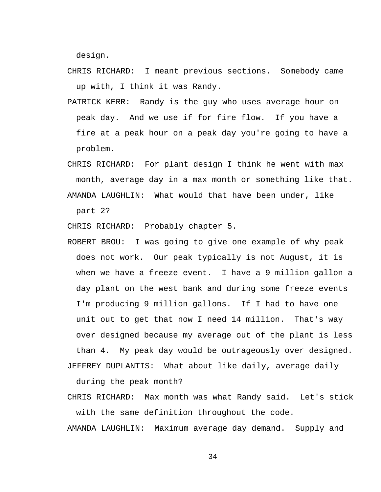design.

- CHRIS RICHARD: I meant previous sections. Somebody came up with, I think it was Randy.
- PATRICK KERR: Randy is the guy who uses average hour on peak day. And we use if for fire flow. If you have a fire at a peak hour on a peak day you're going to have a problem.
- CHRIS RICHARD: For plant design I think he went with max month, average day in a max month or something like that. AMANDA LAUGHLIN: What would that have been under, like

part 2?

CHRIS RICHARD: Probably chapter 5.

ROBERT BROU: I was going to give one example of why peak does not work. Our peak typically is not August, it is when we have a freeze event. I have a 9 million gallon a day plant on the west bank and during some freeze events I'm producing 9 million gallons. If I had to have one unit out to get that now I need 14 million. That's way over designed because my average out of the plant is less than 4. My peak day would be outrageously over designed.

JEFFREY DUPLANTIS: What about like daily, average daily

during the peak month?

CHRIS RICHARD: Max month was what Randy said. Let's stick with the same definition throughout the code.

AMANDA LAUGHLIN: Maximum average day demand. Supply and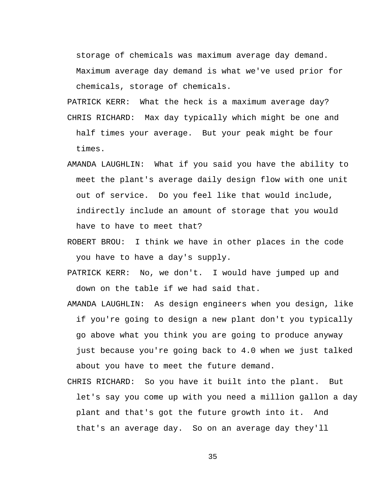storage of chemicals was maximum average day demand. Maximum average day demand is what we've used prior for chemicals, storage of chemicals.

- PATRICK KERR: What the heck is a maximum average day? CHRIS RICHARD: Max day typically which might be one and half times your average. But your peak might be four times.
- AMANDA LAUGHLIN: What if you said you have the ability to meet the plant's average daily design flow with one unit out of service. Do you feel like that would include, indirectly include an amount of storage that you would have to have to meet that?
- ROBERT BROU: I think we have in other places in the code you have to have a day's supply.
- PATRICK KERR: No, we don't. I would have jumped up and down on the table if we had said that.
- AMANDA LAUGHLIN: As design engineers when you design, like if you're going to design a new plant don't you typically go above what you think you are going to produce anyway just because you're going back to 4.0 when we just talked about you have to meet the future demand.
- CHRIS RICHARD: So you have it built into the plant. But let's say you come up with you need a million gallon a day plant and that's got the future growth into it. And that's an average day. So on an average day they'll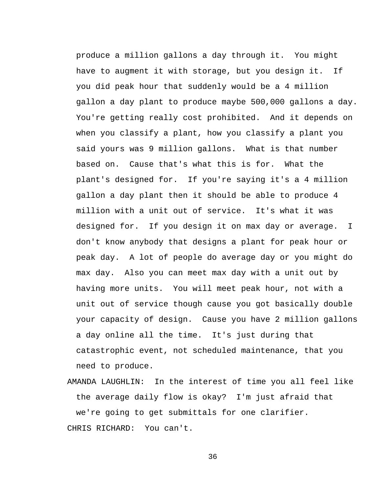produce a million gallons a day through it. You might have to augment it with storage, but you design it. If you did peak hour that suddenly would be a 4 million gallon a day plant to produce maybe 500,000 gallons a day. You're getting really cost prohibited. And it depends on when you classify a plant, how you classify a plant you said yours was 9 million gallons. What is that number based on. Cause that's what this is for. What the plant's designed for. If you're saying it's a 4 million gallon a day plant then it should be able to produce 4 million with a unit out of service. It's what it was designed for. If you design it on max day or average. I don't know anybody that designs a plant for peak hour or peak day. A lot of people do average day or you might do max day. Also you can meet max day with a unit out by having more units. You will meet peak hour, not with a unit out of service though cause you got basically double your capacity of design. Cause you have 2 million gallons a day online all the time. It's just during that catastrophic event, not scheduled maintenance, that you need to produce.

AMANDA LAUGHLIN: In the interest of time you all feel like the average daily flow is okay? I'm just afraid that we're going to get submittals for one clarifier. CHRIS RICHARD: You can't.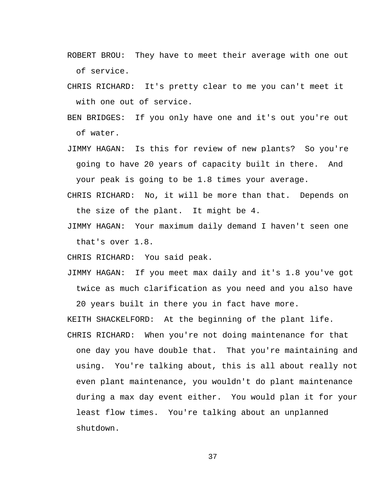- ROBERT BROU: They have to meet their average with one out of service.
- CHRIS RICHARD: It's pretty clear to me you can't meet it with one out of service.
- BEN BRIDGES: If you only have one and it's out you're out of water.
- JIMMY HAGAN: Is this for review of new plants? So you're going to have 20 years of capacity built in there. And your peak is going to be 1.8 times your average.
- CHRIS RICHARD: No, it will be more than that. Depends on the size of the plant. It might be 4.
- JIMMY HAGAN: Your maximum daily demand I haven't seen one that's over 1.8.

CHRIS RICHARD: You said peak.

JIMMY HAGAN: If you meet max daily and it's 1.8 you've got twice as much clarification as you need and you also have

20 years built in there you in fact have more.

KEITH SHACKELFORD: At the beginning of the plant life.

CHRIS RICHARD: When you're not doing maintenance for that one day you have double that. That you're maintaining and using. You're talking about, this is all about really not even plant maintenance, you wouldn't do plant maintenance during a max day event either. You would plan it for your least flow times. You're talking about an unplanned shutdown.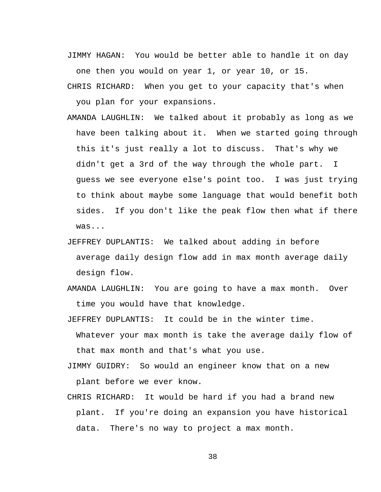JIMMY HAGAN: You would be better able to handle it on day one then you would on year 1, or year 10, or 15.

CHRIS RICHARD: When you get to your capacity that's when you plan for your expansions.

- AMANDA LAUGHLIN: We talked about it probably as long as we have been talking about it. When we started going through this it's just really a lot to discuss. That's why we didn't get a 3rd of the way through the whole part. I guess we see everyone else's point too. I was just trying to think about maybe some language that would benefit both sides. If you don't like the peak flow then what if there was...
- JEFFREY DUPLANTIS: We talked about adding in before average daily design flow add in max month average daily design flow.
- AMANDA LAUGHLIN: You are going to have a max month. Over time you would have that knowledge.

JEFFREY DUPLANTIS: It could be in the winter time.

- Whatever your max month is take the average daily flow of that max month and that's what you use.
- JIMMY GUIDRY: So would an engineer know that on a new plant before we ever know.
- CHRIS RICHARD: It would be hard if you had a brand new plant. If you're doing an expansion you have historical data. There's no way to project a max month.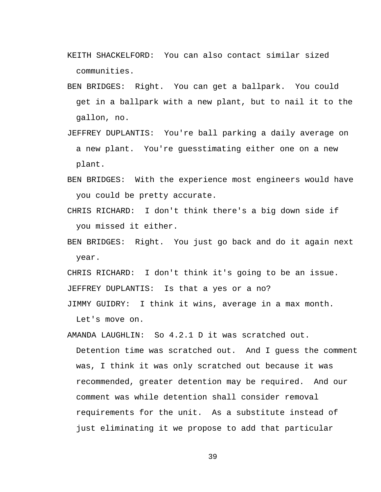- KEITH SHACKELFORD: You can also contact similar sized communities.
- BEN BRIDGES: Right. You can get a ballpark. You could get in a ballpark with a new plant, but to nail it to the gallon, no.
- JEFFREY DUPLANTIS: You're ball parking a daily average on a new plant. You're guesstimating either one on a new plant.
- BEN BRIDGES: With the experience most engineers would have you could be pretty accurate.
- CHRIS RICHARD: I don't think there's a big down side if you missed it either.
- BEN BRIDGES: Right. You just go back and do it again next year.

CHRIS RICHARD: I don't think it's going to be an issue. JEFFREY DUPLANTIS: Is that a yes or a no?

JIMMY GUIDRY: I think it wins, average in a max month. Let's move on.

AMANDA LAUGHLIN: So 4.2.1 D it was scratched out. Detention time was scratched out. And I guess the comment was, I think it was only scratched out because it was recommended, greater detention may be required. And our comment was while detention shall consider removal requirements for the unit. As a substitute instead of just eliminating it we propose to add that particular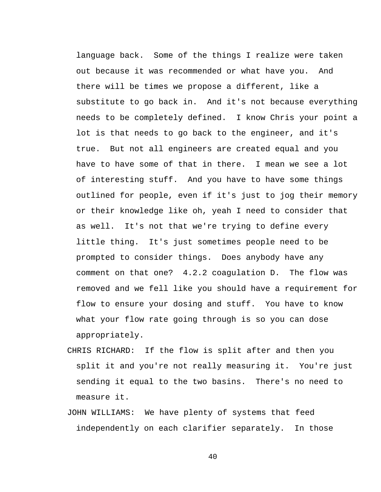language back. Some of the things I realize were taken out because it was recommended or what have you. And there will be times we propose a different, like a substitute to go back in. And it's not because everything needs to be completely defined. I know Chris your point a lot is that needs to go back to the engineer, and it's true. But not all engineers are created equal and you have to have some of that in there. I mean we see a lot of interesting stuff. And you have to have some things outlined for people, even if it's just to jog their memory or their knowledge like oh, yeah I need to consider that as well. It's not that we're trying to define every little thing. It's just sometimes people need to be prompted to consider things. Does anybody have any comment on that one? 4.2.2 coagulation D. The flow was removed and we fell like you should have a requirement for flow to ensure your dosing and stuff. You have to know what your flow rate going through is so you can dose appropriately.

- CHRIS RICHARD: If the flow is split after and then you split it and you're not really measuring it. You're just sending it equal to the two basins. There's no need to measure it.
- JOHN WILLIAMS: We have plenty of systems that feed independently on each clarifier separately. In those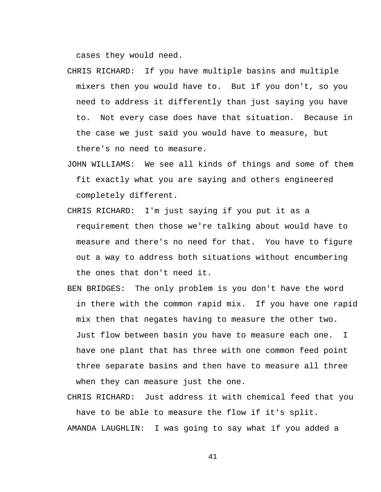cases they would need.

- CHRIS RICHARD: If you have multiple basins and multiple mixers then you would have to. But if you don't, so you need to address it differently than just saying you have to. Not every case does have that situation. Because in the case we just said you would have to measure, but there's no need to measure.
- JOHN WILLIAMS: We see all kinds of things and some of them fit exactly what you are saying and others engineered completely different.
- CHRIS RICHARD: I'm just saying if you put it as a requirement then those we're talking about would have to measure and there's no need for that. You have to figure out a way to address both situations without encumbering the ones that don't need it.
- BEN BRIDGES: The only problem is you don't have the word in there with the common rapid mix. If you have one rapid mix then that negates having to measure the other two. Just flow between basin you have to measure each one. I have one plant that has three with one common feed point three separate basins and then have to measure all three when they can measure just the one.

CHRIS RICHARD: Just address it with chemical feed that you have to be able to measure the flow if it's split. AMANDA LAUGHLIN: I was going to say what if you added a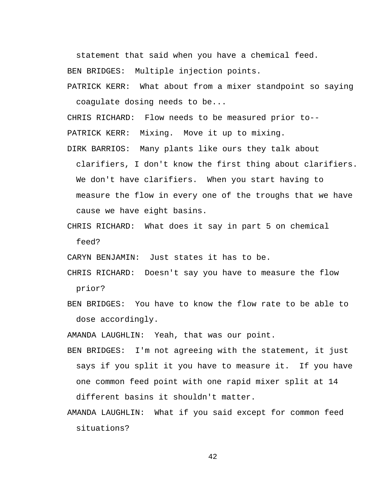statement that said when you have a chemical feed.

BEN BRIDGES: Multiple injection points.

PATRICK KERR: What about from a mixer standpoint so saying coagulate dosing needs to be...

CHRIS RICHARD: Flow needs to be measured prior to--

PATRICK KERR: Mixing. Move it up to mixing.

- DIRK BARRIOS: Many plants like ours they talk about clarifiers, I don't know the first thing about clarifiers. We don't have clarifiers. When you start having to measure the flow in every one of the troughs that we have cause we have eight basins.
- CHRIS RICHARD: What does it say in part 5 on chemical feed?

CARYN BENJAMIN: Just states it has to be.

- CHRIS RICHARD: Doesn't say you have to measure the flow prior?
- BEN BRIDGES: You have to know the flow rate to be able to dose accordingly.

AMANDA LAUGHLIN: Yeah, that was our point.

- BEN BRIDGES: I'm not agreeing with the statement, it just says if you split it you have to measure it. If you have one common feed point with one rapid mixer split at 14 different basins it shouldn't matter.
- AMANDA LAUGHLIN: What if you said except for common feed situations?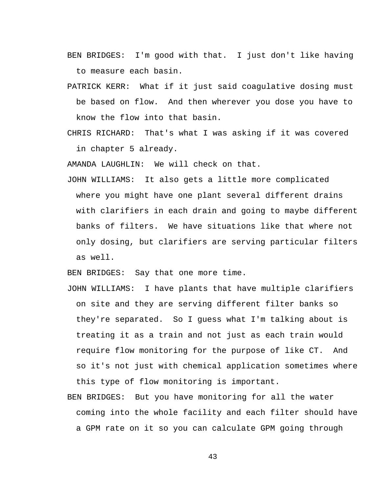- BEN BRIDGES: I'm good with that. I just don't like having to measure each basin.
- PATRICK KERR: What if it just said coagulative dosing must be based on flow. And then wherever you dose you have to know the flow into that basin.
- CHRIS RICHARD: That's what I was asking if it was covered in chapter 5 already.

AMANDA LAUGHLIN: We will check on that.

JOHN WILLIAMS: It also gets a little more complicated where you might have one plant several different drains with clarifiers in each drain and going to maybe different banks of filters. We have situations like that where not only dosing, but clarifiers are serving particular filters as well.

BEN BRIDGES: Say that one more time.

- JOHN WILLIAMS: I have plants that have multiple clarifiers on site and they are serving different filter banks so they're separated. So I guess what I'm talking about is treating it as a train and not just as each train would require flow monitoring for the purpose of like CT. And so it's not just with chemical application sometimes where this type of flow monitoring is important.
- BEN BRIDGES: But you have monitoring for all the water coming into the whole facility and each filter should have a GPM rate on it so you can calculate GPM going through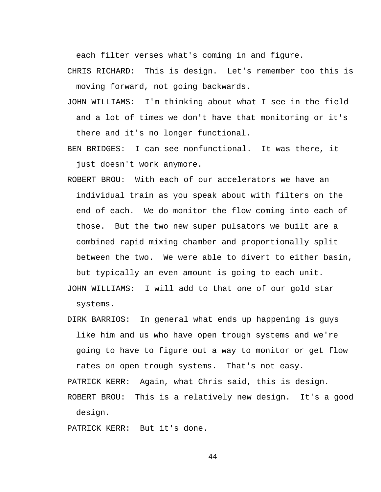each filter verses what's coming in and figure.

- CHRIS RICHARD: This is design. Let's remember too this is moving forward, not going backwards.
- JOHN WILLIAMS: I'm thinking about what I see in the field and a lot of times we don't have that monitoring or it's there and it's no longer functional.
- BEN BRIDGES: I can see nonfunctional. It was there, it just doesn't work anymore.
- ROBERT BROU: With each of our accelerators we have an individual train as you speak about with filters on the end of each. We do monitor the flow coming into each of those. But the two new super pulsators we built are a combined rapid mixing chamber and proportionally split between the two. We were able to divert to either basin, but typically an even amount is going to each unit.
- JOHN WILLIAMS: I will add to that one of our gold star systems.
- DIRK BARRIOS: In general what ends up happening is guys like him and us who have open trough systems and we're going to have to figure out a way to monitor or get flow rates on open trough systems. That's not easy.

PATRICK KERR: Again, what Chris said, this is design.

ROBERT BROU: This is a relatively new design. It's a good design.

PATRICK KERR: But it's done.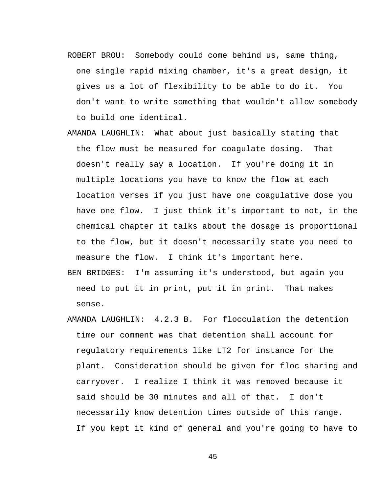- ROBERT BROU: Somebody could come behind us, same thing, one single rapid mixing chamber, it's a great design, it gives us a lot of flexibility to be able to do it. You don't want to write something that wouldn't allow somebody to build one identical.
- AMANDA LAUGHLIN: What about just basically stating that the flow must be measured for coagulate dosing. That doesn't really say a location. If you're doing it in multiple locations you have to know the flow at each location verses if you just have one coagulative dose you have one flow. I just think it's important to not, in the chemical chapter it talks about the dosage is proportional to the flow, but it doesn't necessarily state you need to measure the flow. I think it's important here.
- BEN BRIDGES: I'm assuming it's understood, but again you need to put it in print, put it in print. That makes sense.
- AMANDA LAUGHLIN: 4.2.3 B. For flocculation the detention time our comment was that detention shall account for regulatory requirements like LT2 for instance for the plant. Consideration should be given for floc sharing and carryover. I realize I think it was removed because it said should be 30 minutes and all of that. I don't necessarily know detention times outside of this range. If you kept it kind of general and you're going to have to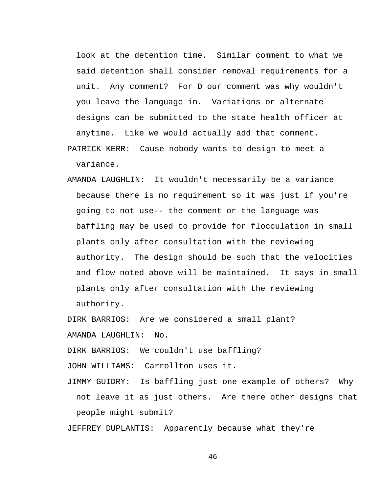look at the detention time. Similar comment to what we said detention shall consider removal requirements for a unit. Any comment? For D our comment was why wouldn't you leave the language in. Variations or alternate designs can be submitted to the state health officer at anytime. Like we would actually add that comment.

PATRICK KERR: Cause nobody wants to design to meet a variance.

AMANDA LAUGHLIN: It wouldn't necessarily be a variance because there is no requirement so it was just if you're going to not use-- the comment or the language was baffling may be used to provide for flocculation in small plants only after consultation with the reviewing authority. The design should be such that the velocities and flow noted above will be maintained. It says in small plants only after consultation with the reviewing authority.

DIRK BARRIOS: Are we considered a small plant? AMANDA LAUGHLIN: No.

DIRK BARRIOS: We couldn't use baffling?

JOHN WILLIAMS: Carrollton uses it.

JIMMY GUIDRY: Is baffling just one example of others? Why not leave it as just others. Are there other designs that people might submit?

JEFFREY DUPLANTIS: Apparently because what they're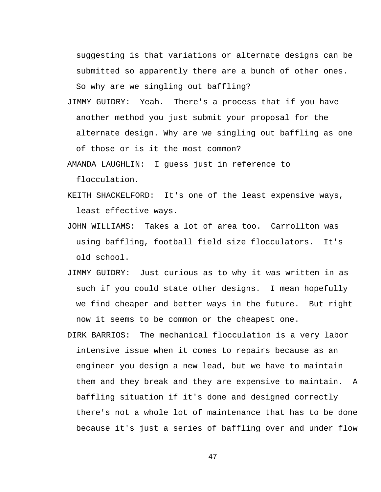suggesting is that variations or alternate designs can be submitted so apparently there are a bunch of other ones. So why are we singling out baffling?

JIMMY GUIDRY: Yeah. There's a process that if you have another method you just submit your proposal for the alternate design. Why are we singling out baffling as one of those or is it the most common?

AMANDA LAUGHLIN: I guess just in reference to flocculation.

- KEITH SHACKELFORD: It's one of the least expensive ways, least effective ways.
- JOHN WILLIAMS: Takes a lot of area too. Carrollton was using baffling, football field size flocculators. It's old school.
- JIMMY GUIDRY: Just curious as to why it was written in as such if you could state other designs. I mean hopefully we find cheaper and better ways in the future. But right now it seems to be common or the cheapest one.
- DIRK BARRIOS: The mechanical flocculation is a very labor intensive issue when it comes to repairs because as an engineer you design a new lead, but we have to maintain them and they break and they are expensive to maintain. A baffling situation if it's done and designed correctly there's not a whole lot of maintenance that has to be done because it's just a series of baffling over and under flow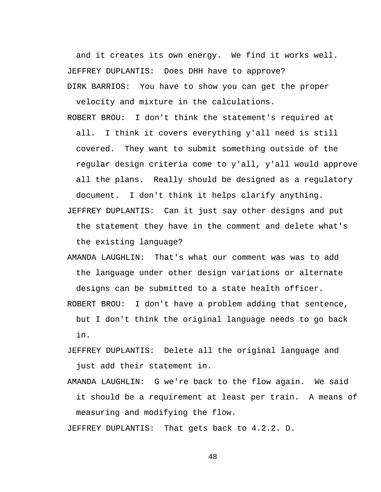and it creates its own energy. We find it works well. JEFFREY DUPLANTIS: Does DHH have to approve? DIRK BARRIOS: You have to show you can get the proper

velocity and mixture in the calculations.

ROBERT BROU: I don't think the statement's required at all. I think it covers everything y'all need is still covered. They want to submit something outside of the regular design criteria come to y'all, y'all would approve all the plans. Really should be designed as a regulatory document. I don't think it helps clarify anything.

JEFFREY DUPLANTIS: Can it just say other designs and put the statement they have in the comment and delete what's the existing language?

AMANDA LAUGHLIN: That's what our comment was was to add the language under other design variations or alternate designs can be submitted to a state health officer.

ROBERT BROU: I don't have a problem adding that sentence, but I don't think the original language needs to go back in.

JEFFREY DUPLANTIS: Delete all the original language and just add their statement in.

AMANDA LAUGHLIN: G we're back to the flow again. We said it should be a requirement at least per train. A means of measuring and modifying the flow.

JEFFREY DUPLANTIS: That gets back to 4.2.2. D.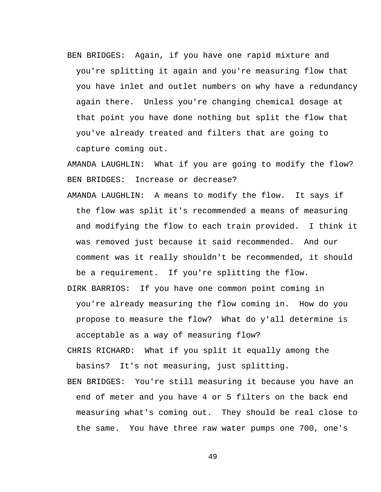BEN BRIDGES: Again, if you have one rapid mixture and you're splitting it again and you're measuring flow that you have inlet and outlet numbers on why have a redundancy again there. Unless you're changing chemical dosage at that point you have done nothing but split the flow that you've already treated and filters that are going to capture coming out.

AMANDA LAUGHLIN: What if you are going to modify the flow? BEN BRIDGES: Increase or decrease?

- AMANDA LAUGHLIN: A means to modify the flow. It says if the flow was split it's recommended a means of measuring and modifying the flow to each train provided. I think it was removed just because it said recommended. And our comment was it really shouldn't be recommended, it should be a requirement. If you're splitting the flow.
- DIRK BARRIOS: If you have one common point coming in you're already measuring the flow coming in. How do you propose to measure the flow? What do y'all determine is acceptable as a way of measuring flow?
- CHRIS RICHARD: What if you split it equally among the basins? It's not measuring, just splitting.
- BEN BRIDGES: You're still measuring it because you have an end of meter and you have 4 or 5 filters on the back end measuring what's coming out. They should be real close to the same. You have three raw water pumps one 700, one's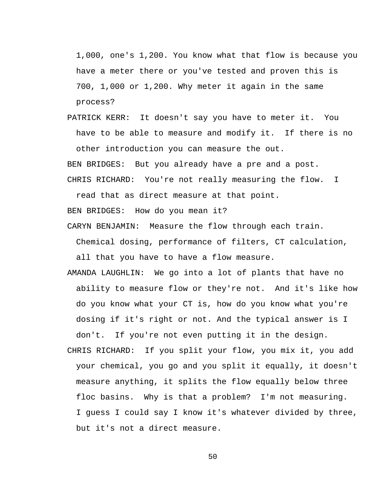1,000, one's 1,200. You know what that flow is because you have a meter there or you've tested and proven this is 700, 1,000 or 1,200. Why meter it again in the same process?

PATRICK KERR: It doesn't say you have to meter it. You have to be able to measure and modify it. If there is no other introduction you can measure the out. BEN BRIDGES: But you already have a pre and a post.

CHRIS RICHARD: You're not really measuring the flow. I

read that as direct measure at that point.

BEN BRIDGES: How do you mean it?

CARYN BENJAMIN: Measure the flow through each train.

Chemical dosing, performance of filters, CT calculation,

all that you have to have a flow measure.

- AMANDA LAUGHLIN: We go into a lot of plants that have no ability to measure flow or they're not. And it's like how do you know what your CT is, how do you know what you're dosing if it's right or not. And the typical answer is I don't. If you're not even putting it in the design.
- CHRIS RICHARD: If you split your flow, you mix it, you add your chemical, you go and you split it equally, it doesn't measure anything, it splits the flow equally below three floc basins. Why is that a problem? I'm not measuring. I guess I could say I know it's whatever divided by three, but it's not a direct measure.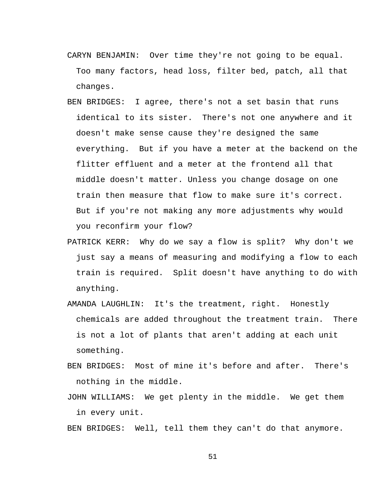- CARYN BENJAMIN: Over time they're not going to be equal. Too many factors, head loss, filter bed, patch, all that changes.
- BEN BRIDGES: I agree, there's not a set basin that runs identical to its sister. There's not one anywhere and it doesn't make sense cause they're designed the same everything. But if you have a meter at the backend on the flitter effluent and a meter at the frontend all that middle doesn't matter. Unless you change dosage on one train then measure that flow to make sure it's correct. But if you're not making any more adjustments why would you reconfirm your flow?
- PATRICK KERR: Why do we say a flow is split? Why don't we just say a means of measuring and modifying a flow to each train is required. Split doesn't have anything to do with anything.
- AMANDA LAUGHLIN: It's the treatment, right. Honestly chemicals are added throughout the treatment train. There is not a lot of plants that aren't adding at each unit something.
- BEN BRIDGES: Most of mine it's before and after. There's nothing in the middle.
- JOHN WILLIAMS: We get plenty in the middle. We get them in every unit.

BEN BRIDGES: Well, tell them they can't do that anymore.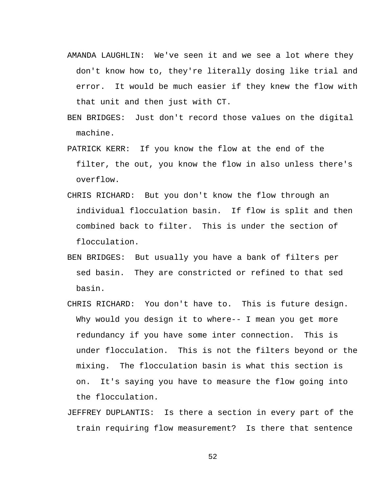- AMANDA LAUGHLIN: We've seen it and we see a lot where they don't know how to, they're literally dosing like trial and error. It would be much easier if they knew the flow with that unit and then just with CT.
- BEN BRIDGES: Just don't record those values on the digital machine.
- PATRICK KERR: If you know the flow at the end of the filter, the out, you know the flow in also unless there's overflow.
- CHRIS RICHARD: But you don't know the flow through an individual flocculation basin. If flow is split and then combined back to filter. This is under the section of flocculation.
- BEN BRIDGES: But usually you have a bank of filters per sed basin. They are constricted or refined to that sed basin.
- CHRIS RICHARD: You don't have to. This is future design. Why would you design it to where-- I mean you get more redundancy if you have some inter connection. This is under flocculation. This is not the filters beyond or the mixing. The flocculation basin is what this section is on. It's saying you have to measure the flow going into the flocculation.
- JEFFREY DUPLANTIS: Is there a section in every part of the train requiring flow measurement? Is there that sentence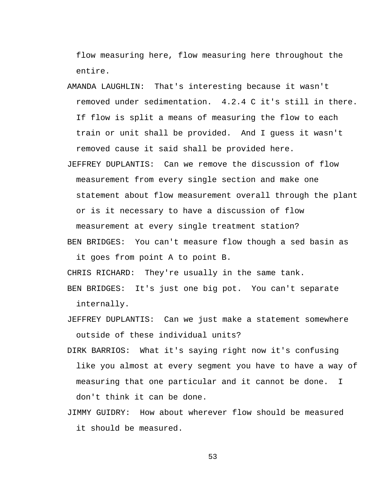flow measuring here, flow measuring here throughout the entire.

- AMANDA LAUGHLIN: That's interesting because it wasn't removed under sedimentation. 4.2.4 C it's still in there. If flow is split a means of measuring the flow to each train or unit shall be provided. And I guess it wasn't removed cause it said shall be provided here.
- JEFFREY DUPLANTIS: Can we remove the discussion of flow measurement from every single section and make one statement about flow measurement overall through the plant or is it necessary to have a discussion of flow measurement at every single treatment station?
- BEN BRIDGES: You can't measure flow though a sed basin as it goes from point A to point B.

CHRIS RICHARD: They're usually in the same tank.

BEN BRIDGES: It's just one big pot. You can't separate internally.

JEFFREY DUPLANTIS: Can we just make a statement somewhere outside of these individual units?

- DIRK BARRIOS: What it's saying right now it's confusing like you almost at every segment you have to have a way of measuring that one particular and it cannot be done. I don't think it can be done.
- JIMMY GUIDRY: How about wherever flow should be measured it should be measured.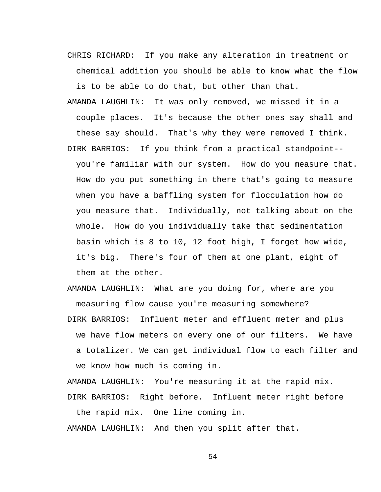- CHRIS RICHARD: If you make any alteration in treatment or chemical addition you should be able to know what the flow is to be able to do that, but other than that.
- AMANDA LAUGHLIN: It was only removed, we missed it in a couple places. It's because the other ones say shall and these say should. That's why they were removed I think. DIRK BARRIOS: If you think from a practical standpoint- you're familiar with our system. How do you measure that. How do you put something in there that's going to measure when you have a baffling system for flocculation how do you measure that. Individually, not talking about on the whole. How do you individually take that sedimentation basin which is 8 to 10, 12 foot high, I forget how wide, it's big. There's four of them at one plant, eight of them at the other.
- AMANDA LAUGHLIN: What are you doing for, where are you measuring flow cause you're measuring somewhere?
- DIRK BARRIOS: Influent meter and effluent meter and plus we have flow meters on every one of our filters. We have a totalizer. We can get individual flow to each filter and we know how much is coming in.

AMANDA LAUGHLIN: You're measuring it at the rapid mix. DIRK BARRIOS: Right before. Influent meter right before

the rapid mix. One line coming in.

AMANDA LAUGHLIN: And then you split after that.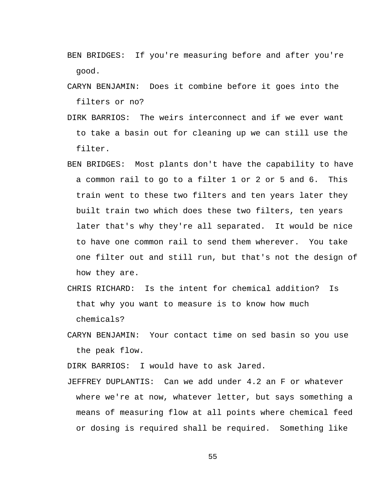- BEN BRIDGES: If you're measuring before and after you're good.
- CARYN BENJAMIN: Does it combine before it goes into the filters or no?
- DIRK BARRIOS: The weirs interconnect and if we ever want to take a basin out for cleaning up we can still use the filter.
- BEN BRIDGES: Most plants don't have the capability to have a common rail to go to a filter 1 or 2 or 5 and 6. This train went to these two filters and ten years later they built train two which does these two filters, ten years later that's why they're all separated. It would be nice to have one common rail to send them wherever. You take one filter out and still run, but that's not the design of how they are.
- CHRIS RICHARD: Is the intent for chemical addition? Is that why you want to measure is to know how much chemicals?
- CARYN BENJAMIN: Your contact time on sed basin so you use the peak flow.

DIRK BARRIOS: I would have to ask Jared.

JEFFREY DUPLANTIS: Can we add under 4.2 an F or whatever where we're at now, whatever letter, but says something a means of measuring flow at all points where chemical feed or dosing is required shall be required. Something like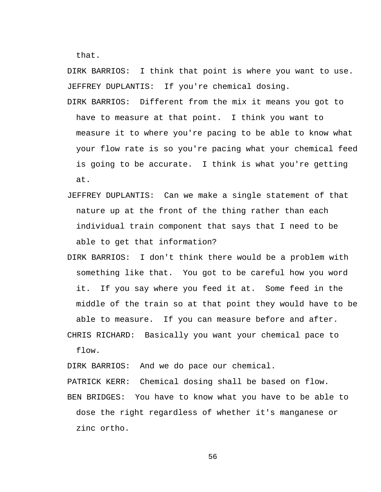that.

DIRK BARRIOS: I think that point is where you want to use. JEFFREY DUPLANTIS: If you're chemical dosing.

- DIRK BARRIOS: Different from the mix it means you got to have to measure at that point. I think you want to measure it to where you're pacing to be able to know what your flow rate is so you're pacing what your chemical feed is going to be accurate. I think is what you're getting at.
- JEFFREY DUPLANTIS: Can we make a single statement of that nature up at the front of the thing rather than each individual train component that says that I need to be able to get that information?
- DIRK BARRIOS: I don't think there would be a problem with something like that. You got to be careful how you word it. If you say where you feed it at. Some feed in the middle of the train so at that point they would have to be able to measure. If you can measure before and after.

CHRIS RICHARD: Basically you want your chemical pace to flow.

DIRK BARRIOS: And we do pace our chemical.

PATRICK KERR: Chemical dosing shall be based on flow.

BEN BRIDGES: You have to know what you have to be able to dose the right regardless of whether it's manganese or zinc ortho.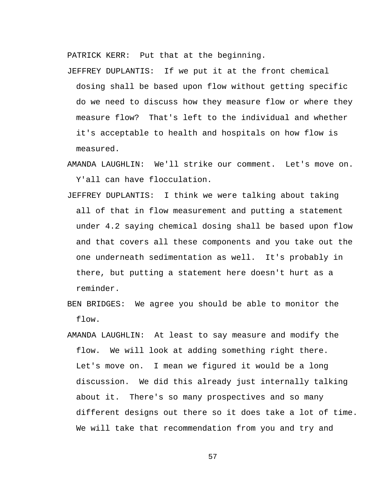PATRICK KERR: Put that at the beginning.

JEFFREY DUPLANTIS: If we put it at the front chemical dosing shall be based upon flow without getting specific do we need to discuss how they measure flow or where they measure flow? That's left to the individual and whether it's acceptable to health and hospitals on how flow is measured.

- AMANDA LAUGHLIN: We'll strike our comment. Let's move on. Y'all can have flocculation.
- JEFFREY DUPLANTIS: I think we were talking about taking all of that in flow measurement and putting a statement under 4.2 saying chemical dosing shall be based upon flow and that covers all these components and you take out the one underneath sedimentation as well. It's probably in there, but putting a statement here doesn't hurt as a reminder.
- BEN BRIDGES: We agree you should be able to monitor the flow.
- AMANDA LAUGHLIN: At least to say measure and modify the flow. We will look at adding something right there. Let's move on. I mean we figured it would be a long discussion. We did this already just internally talking about it. There's so many prospectives and so many different designs out there so it does take a lot of time. We will take that recommendation from you and try and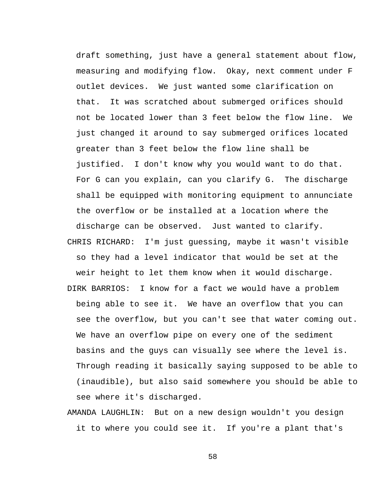draft something, just have a general statement about flow, measuring and modifying flow. Okay, next comment under F outlet devices. We just wanted some clarification on that. It was scratched about submerged orifices should not be located lower than 3 feet below the flow line. We just changed it around to say submerged orifices located greater than 3 feet below the flow line shall be justified. I don't know why you would want to do that. For G can you explain, can you clarify G. The discharge shall be equipped with monitoring equipment to annunciate the overflow or be installed at a location where the discharge can be observed. Just wanted to clarify. CHRIS RICHARD: I'm just guessing, maybe it wasn't visible so they had a level indicator that would be set at the weir height to let them know when it would discharge. DIRK BARRIOS: I know for a fact we would have a problem being able to see it. We have an overflow that you can see the overflow, but you can't see that water coming out. We have an overflow pipe on every one of the sediment basins and the guys can visually see where the level is. Through reading it basically saying supposed to be able to (inaudible), but also said somewhere you should be able to see where it's discharged.

AMANDA LAUGHLIN: But on a new design wouldn't you design it to where you could see it. If you're a plant that's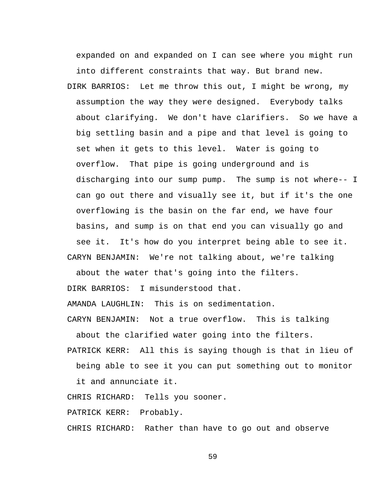expanded on and expanded on I can see where you might run into different constraints that way. But brand new.

DIRK BARRIOS: Let me throw this out, I might be wrong, my assumption the way they were designed. Everybody talks about clarifying. We don't have clarifiers. So we have a big settling basin and a pipe and that level is going to set when it gets to this level. Water is going to overflow. That pipe is going underground and is discharging into our sump pump. The sump is not where-- I can go out there and visually see it, but if it's the one overflowing is the basin on the far end, we have four basins, and sump is on that end you can visually go and see it. It's how do you interpret being able to see it. CARYN BENJAMIN: We're not talking about, we're talking

about the water that's going into the filters.

DIRK BARRIOS: I misunderstood that.

AMANDA LAUGHLIN: This is on sedimentation.

CARYN BENJAMIN: Not a true overflow. This is talking

about the clarified water going into the filters.

PATRICK KERR: All this is saying though is that in lieu of

being able to see it you can put something out to monitor

it and annunciate it.

CHRIS RICHARD: Tells you sooner.

PATRICK KERR: Probably.

CHRIS RICHARD: Rather than have to go out and observe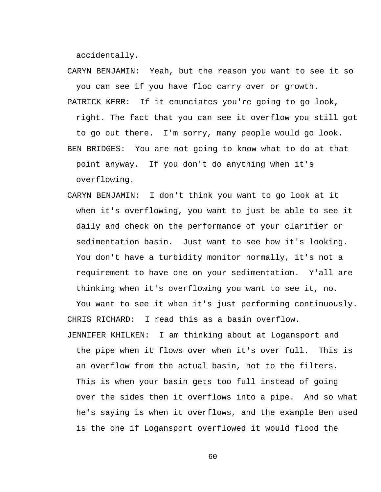accidentally.

- CARYN BENJAMIN: Yeah, but the reason you want to see it so you can see if you have floc carry over or growth.
- PATRICK KERR: If it enunciates you're going to go look, right. The fact that you can see it overflow you still got to go out there. I'm sorry, many people would go look. BEN BRIDGES: You are not going to know what to do at that point anyway. If you don't do anything when it's overflowing.
- CARYN BENJAMIN: I don't think you want to go look at it when it's overflowing, you want to just be able to see it daily and check on the performance of your clarifier or sedimentation basin. Just want to see how it's looking. You don't have a turbidity monitor normally, it's not a requirement to have one on your sedimentation. Y'all are thinking when it's overflowing you want to see it, no.

You want to see it when it's just performing continuously. CHRIS RICHARD: I read this as a basin overflow.

JENNIFER KHILKEN: I am thinking about at Logansport and the pipe when it flows over when it's over full. This is an overflow from the actual basin, not to the filters. This is when your basin gets too full instead of going over the sides then it overflows into a pipe. And so what he's saying is when it overflows, and the example Ben used is the one if Logansport overflowed it would flood the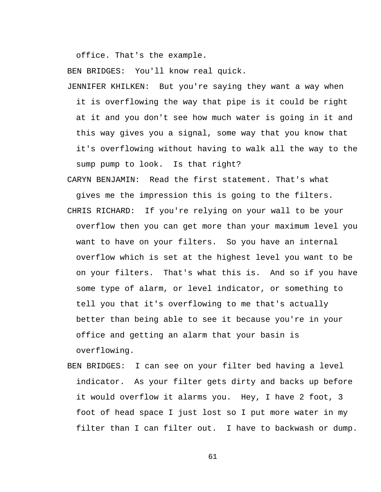office. That's the example.

BEN BRIDGES: You'll know real quick.

JENNIFER KHILKEN: But you're saying they want a way when it is overflowing the way that pipe is it could be right at it and you don't see how much water is going in it and this way gives you a signal, some way that you know that it's overflowing without having to walk all the way to the sump pump to look. Is that right?

CARYN BENJAMIN: Read the first statement. That's what gives me the impression this is going to the filters.

- CHRIS RICHARD: If you're relying on your wall to be your overflow then you can get more than your maximum level you want to have on your filters. So you have an internal overflow which is set at the highest level you want to be on your filters. That's what this is. And so if you have some type of alarm, or level indicator, or something to tell you that it's overflowing to me that's actually better than being able to see it because you're in your office and getting an alarm that your basin is overflowing.
- BEN BRIDGES: I can see on your filter bed having a level indicator. As your filter gets dirty and backs up before it would overflow it alarms you. Hey, I have 2 foot, 3 foot of head space I just lost so I put more water in my filter than I can filter out. I have to backwash or dump.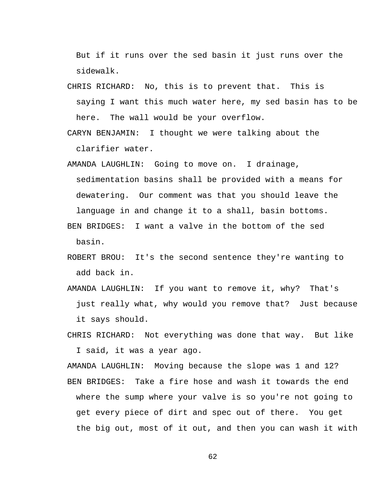But if it runs over the sed basin it just runs over the sidewalk.

- CHRIS RICHARD: No, this is to prevent that. This is saying I want this much water here, my sed basin has to be here. The wall would be your overflow.
- CARYN BENJAMIN: I thought we were talking about the clarifier water.
- AMANDA LAUGHLIN: Going to move on. I drainage, sedimentation basins shall be provided with a means for dewatering. Our comment was that you should leave the language in and change it to a shall, basin bottoms.
- BEN BRIDGES: I want a valve in the bottom of the sed basin.
- ROBERT BROU: It's the second sentence they're wanting to add back in.
- AMANDA LAUGHLIN: If you want to remove it, why? That's just really what, why would you remove that? Just because it says should.
- CHRIS RICHARD: Not everything was done that way. But like I said, it was a year ago.

AMANDA LAUGHLIN: Moving because the slope was 1 and 12? BEN BRIDGES: Take a fire hose and wash it towards the end where the sump where your valve is so you're not going to get every piece of dirt and spec out of there. You get the big out, most of it out, and then you can wash it with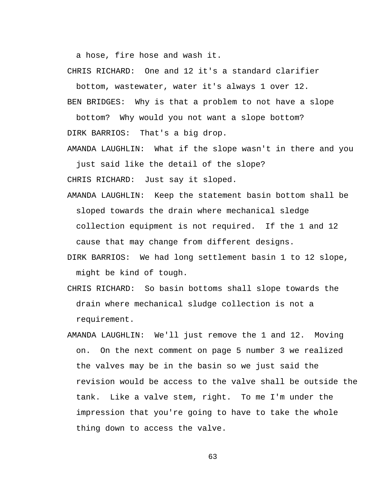a hose, fire hose and wash it.

CHRIS RICHARD: One and 12 it's a standard clarifier

bottom, wastewater, water it's always 1 over 12.

BEN BRIDGES: Why is that a problem to not have a slope

bottom? Why would you not want a slope bottom? DIRK BARRIOS: That's a big drop.

AMANDA LAUGHLIN: What if the slope wasn't in there and you just said like the detail of the slope?

CHRIS RICHARD: Just say it sloped.

- AMANDA LAUGHLIN: Keep the statement basin bottom shall be sloped towards the drain where mechanical sledge collection equipment is not required. If the 1 and 12 cause that may change from different designs.
- DIRK BARRIOS: We had long settlement basin 1 to 12 slope, might be kind of tough.
- CHRIS RICHARD: So basin bottoms shall slope towards the drain where mechanical sludge collection is not a requirement.
- AMANDA LAUGHLIN: We'll just remove the 1 and 12. Moving on. On the next comment on page 5 number 3 we realized the valves may be in the basin so we just said the revision would be access to the valve shall be outside the tank. Like a valve stem, right. To me I'm under the impression that you're going to have to take the whole thing down to access the valve.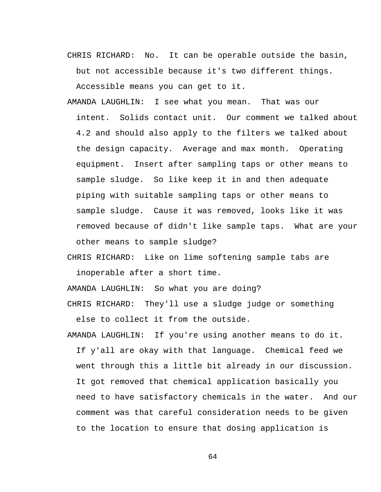CHRIS RICHARD: No. It can be operable outside the basin, but not accessible because it's two different things.

Accessible means you can get to it.

- AMANDA LAUGHLIN: I see what you mean. That was our intent. Solids contact unit. Our comment we talked about 4.2 and should also apply to the filters we talked about the design capacity. Average and max month. Operating equipment. Insert after sampling taps or other means to sample sludge. So like keep it in and then adequate piping with suitable sampling taps or other means to sample sludge. Cause it was removed, looks like it was removed because of didn't like sample taps. What are your other means to sample sludge?
- CHRIS RICHARD: Like on lime softening sample tabs are inoperable after a short time.

AMANDA LAUGHLIN: So what you are doing?

- CHRIS RICHARD: They'll use a sludge judge or something else to collect it from the outside.
- AMANDA LAUGHLIN: If you're using another means to do it. If y'all are okay with that language. Chemical feed we went through this a little bit already in our discussion. It got removed that chemical application basically you need to have satisfactory chemicals in the water. And our comment was that careful consideration needs to be given to the location to ensure that dosing application is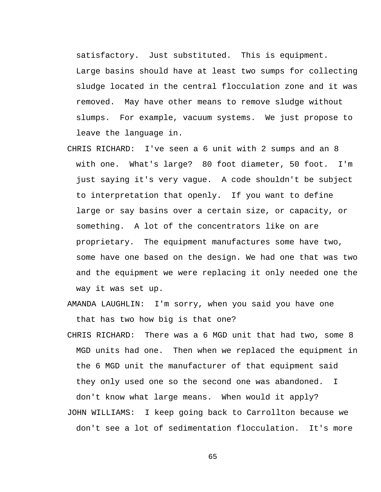satisfactory. Just substituted. This is equipment. Large basins should have at least two sumps for collecting sludge located in the central flocculation zone and it was removed. May have other means to remove sludge without slumps. For example, vacuum systems. We just propose to leave the language in.

CHRIS RICHARD: I've seen a 6 unit with 2 sumps and an 8 with one. What's large? 80 foot diameter, 50 foot. I'm just saying it's very vague. A code shouldn't be subject to interpretation that openly. If you want to define large or say basins over a certain size, or capacity, or something. A lot of the concentrators like on are proprietary. The equipment manufactures some have two, some have one based on the design. We had one that was two and the equipment we were replacing it only needed one the way it was set up.

AMANDA LAUGHLIN: I'm sorry, when you said you have one that has two how big is that one?

- CHRIS RICHARD: There was a 6 MGD unit that had two, some 8 MGD units had one. Then when we replaced the equipment in the 6 MGD unit the manufacturer of that equipment said they only used one so the second one was abandoned. I don't know what large means. When would it apply?
- JOHN WILLIAMS: I keep going back to Carrollton because we don't see a lot of sedimentation flocculation. It's more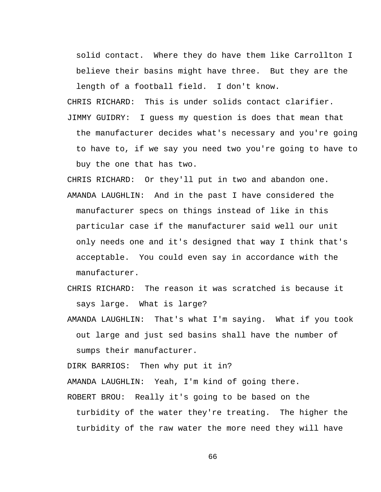solid contact. Where they do have them like Carrollton I believe their basins might have three. But they are the length of a football field. I don't know.

CHRIS RICHARD: This is under solids contact clarifier. JIMMY GUIDRY: I guess my question is does that mean that the manufacturer decides what's necessary and you're going to have to, if we say you need two you're going to have to buy the one that has two.

CHRIS RICHARD: Or they'll put in two and abandon one. AMANDA LAUGHLIN: And in the past I have considered the manufacturer specs on things instead of like in this particular case if the manufacturer said well our unit only needs one and it's designed that way I think that's acceptable. You could even say in accordance with the manufacturer.

- CHRIS RICHARD: The reason it was scratched is because it says large. What is large?
- AMANDA LAUGHLIN: That's what I'm saying. What if you took out large and just sed basins shall have the number of sumps their manufacturer.

DIRK BARRIOS: Then why put it in?

AMANDA LAUGHLIN: Yeah, I'm kind of going there.

ROBERT BROU: Really it's going to be based on the

turbidity of the water they're treating. The higher the turbidity of the raw water the more need they will have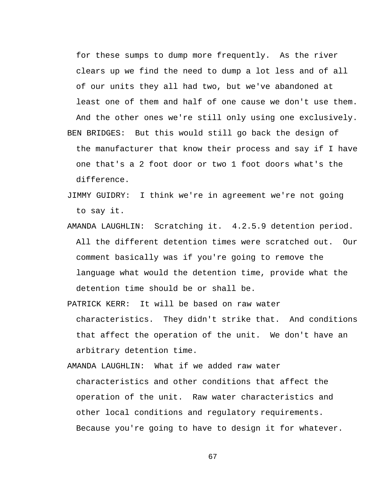for these sumps to dump more frequently. As the river clears up we find the need to dump a lot less and of all of our units they all had two, but we've abandoned at least one of them and half of one cause we don't use them. And the other ones we're still only using one exclusively. BEN BRIDGES: But this would still go back the design of the manufacturer that know their process and say if I have one that's a 2 foot door or two 1 foot doors what's the difference.

- JIMMY GUIDRY: I think we're in agreement we're not going to say it.
- AMANDA LAUGHLIN: Scratching it. 4.2.5.9 detention period. All the different detention times were scratched out. Our comment basically was if you're going to remove the language what would the detention time, provide what the detention time should be or shall be.
- PATRICK KERR: It will be based on raw water characteristics. They didn't strike that. And conditions that affect the operation of the unit. We don't have an arbitrary detention time.

AMANDA LAUGHLIN: What if we added raw water characteristics and other conditions that affect the operation of the unit. Raw water characteristics and other local conditions and regulatory requirements. Because you're going to have to design it for whatever.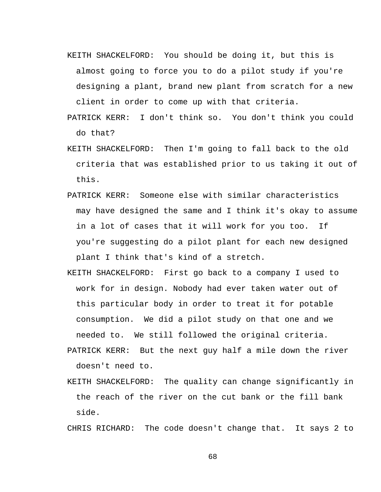- KEITH SHACKELFORD: You should be doing it, but this is almost going to force you to do a pilot study if you're designing a plant, brand new plant from scratch for a new client in order to come up with that criteria.
- PATRICK KERR: I don't think so. You don't think you could do that?
- KEITH SHACKELFORD: Then I'm going to fall back to the old criteria that was established prior to us taking it out of this.
- PATRICK KERR: Someone else with similar characteristics may have designed the same and I think it's okay to assume in a lot of cases that it will work for you too. If you're suggesting do a pilot plant for each new designed plant I think that's kind of a stretch.
- KEITH SHACKELFORD: First go back to a company I used to work for in design. Nobody had ever taken water out of this particular body in order to treat it for potable consumption. We did a pilot study on that one and we needed to. We still followed the original criteria.
- PATRICK KERR: But the next guy half a mile down the river doesn't need to.
- KEITH SHACKELFORD: The quality can change significantly in the reach of the river on the cut bank or the fill bank side.

CHRIS RICHARD: The code doesn't change that. It says 2 to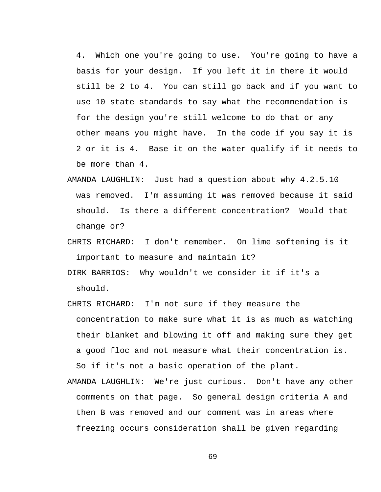4. Which one you're going to use. You're going to have a basis for your design. If you left it in there it would still be 2 to 4. You can still go back and if you want to use 10 state standards to say what the recommendation is for the design you're still welcome to do that or any other means you might have. In the code if you say it is 2 or it is 4. Base it on the water qualify if it needs to be more than 4.

- AMANDA LAUGHLIN: Just had a question about why 4.2.5.10 was removed. I'm assuming it was removed because it said should. Is there a different concentration? Would that change or?
- CHRIS RICHARD: I don't remember. On lime softening is it important to measure and maintain it?
- DIRK BARRIOS: Why wouldn't we consider it if it's a should.
- CHRIS RICHARD: I'm not sure if they measure the concentration to make sure what it is as much as watching their blanket and blowing it off and making sure they get a good floc and not measure what their concentration is. So if it's not a basic operation of the plant.
- AMANDA LAUGHLIN: We're just curious. Don't have any other comments on that page. So general design criteria A and then B was removed and our comment was in areas where freezing occurs consideration shall be given regarding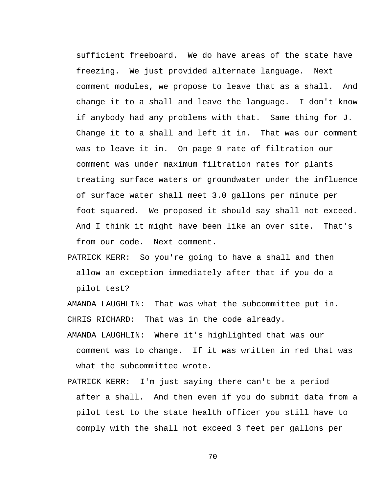sufficient freeboard. We do have areas of the state have freezing. We just provided alternate language. Next comment modules, we propose to leave that as a shall. And change it to a shall and leave the language. I don't know if anybody had any problems with that. Same thing for J. Change it to a shall and left it in. That was our comment was to leave it in. On page 9 rate of filtration our comment was under maximum filtration rates for plants treating surface waters or groundwater under the influence of surface water shall meet 3.0 gallons per minute per foot squared. We proposed it should say shall not exceed. And I think it might have been like an over site. That's from our code. Next comment.

PATRICK KERR: So you're going to have a shall and then allow an exception immediately after that if you do a pilot test?

AMANDA LAUGHLIN: That was what the subcommittee put in. CHRIS RICHARD: That was in the code already.

- AMANDA LAUGHLIN: Where it's highlighted that was our comment was to change. If it was written in red that was what the subcommittee wrote.
- PATRICK KERR: I'm just saying there can't be a period after a shall. And then even if you do submit data from a pilot test to the state health officer you still have to comply with the shall not exceed 3 feet per gallons per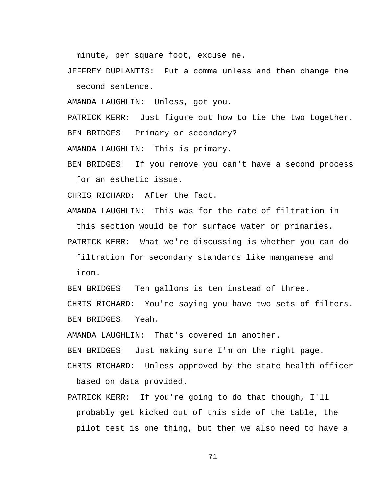minute, per square foot, excuse me.

JEFFREY DUPLANTIS: Put a comma unless and then change the second sentence.

AMANDA LAUGHLIN: Unless, got you.

PATRICK KERR: Just figure out how to tie the two together. BEN BRIDGES: Primary or secondary?

AMANDA LAUGHLIN: This is primary.

BEN BRIDGES: If you remove you can't have a second process for an esthetic issue.

CHRIS RICHARD: After the fact.

AMANDA LAUGHLIN: This was for the rate of filtration in this section would be for surface water or primaries.

PATRICK KERR: What we're discussing is whether you can do filtration for secondary standards like manganese and iron.

BEN BRIDGES: Ten gallons is ten instead of three.

CHRIS RICHARD: You're saying you have two sets of filters. BEN BRIDGES: Yeah.

AMANDA LAUGHLIN: That's covered in another.

BEN BRIDGES: Just making sure I'm on the right page.

CHRIS RICHARD: Unless approved by the state health officer based on data provided.

PATRICK KERR: If you're going to do that though, I'll probably get kicked out of this side of the table, the pilot test is one thing, but then we also need to have a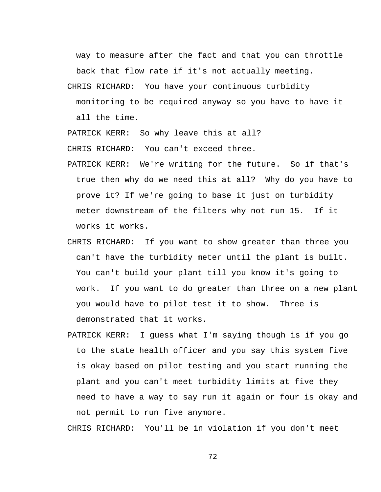way to measure after the fact and that you can throttle back that flow rate if it's not actually meeting.

CHRIS RICHARD: You have your continuous turbidity monitoring to be required anyway so you have to have it all the time.

PATRICK KERR: So why leave this at all?

CHRIS RICHARD: You can't exceed three.

- PATRICK KERR: We're writing for the future. So if that's true then why do we need this at all? Why do you have to prove it? If we're going to base it just on turbidity meter downstream of the filters why not run 15. If it works it works.
- CHRIS RICHARD: If you want to show greater than three you can't have the turbidity meter until the plant is built. You can't build your plant till you know it's going to work. If you want to do greater than three on a new plant you would have to pilot test it to show. Three is demonstrated that it works.
- PATRICK KERR: I guess what I'm saying though is if you go to the state health officer and you say this system five is okay based on pilot testing and you start running the plant and you can't meet turbidity limits at five they need to have a way to say run it again or four is okay and not permit to run five anymore.

CHRIS RICHARD: You'll be in violation if you don't meet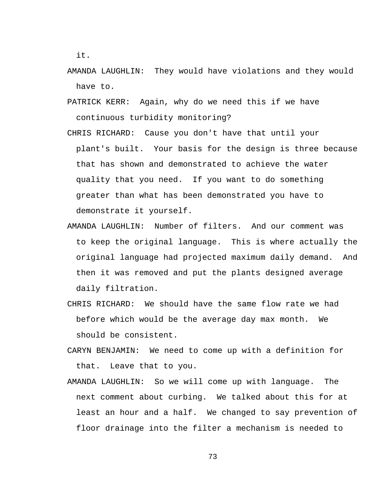it.

- AMANDA LAUGHLIN: They would have violations and they would have to.
- PATRICK KERR: Again, why do we need this if we have continuous turbidity monitoring?
- CHRIS RICHARD: Cause you don't have that until your plant's built. Your basis for the design is three because that has shown and demonstrated to achieve the water quality that you need. If you want to do something greater than what has been demonstrated you have to demonstrate it yourself.
- AMANDA LAUGHLIN: Number of filters. And our comment was to keep the original language. This is where actually the original language had projected maximum daily demand. And then it was removed and put the plants designed average daily filtration.
- CHRIS RICHARD: We should have the same flow rate we had before which would be the average day max month. We should be consistent.
- CARYN BENJAMIN: We need to come up with a definition for that. Leave that to you.
- AMANDA LAUGHLIN: So we will come up with language. The next comment about curbing. We talked about this for at least an hour and a half. We changed to say prevention of floor drainage into the filter a mechanism is needed to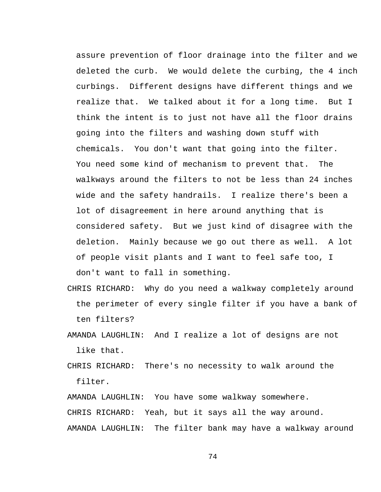assure prevention of floor drainage into the filter and we deleted the curb. We would delete the curbing, the 4 inch curbings. Different designs have different things and we realize that. We talked about it for a long time. But I think the intent is to just not have all the floor drains going into the filters and washing down stuff with chemicals. You don't want that going into the filter. You need some kind of mechanism to prevent that. The walkways around the filters to not be less than 24 inches wide and the safety handrails. I realize there's been a lot of disagreement in here around anything that is considered safety. But we just kind of disagree with the deletion. Mainly because we go out there as well. A lot of people visit plants and I want to feel safe too, I don't want to fall in something.

- CHRIS RICHARD: Why do you need a walkway completely around the perimeter of every single filter if you have a bank of ten filters?
- AMANDA LAUGHLIN: And I realize a lot of designs are not like that.
- CHRIS RICHARD: There's no necessity to walk around the filter.

AMANDA LAUGHLIN: You have some walkway somewhere. CHRIS RICHARD: Yeah, but it says all the way around. AMANDA LAUGHLIN: The filter bank may have a walkway around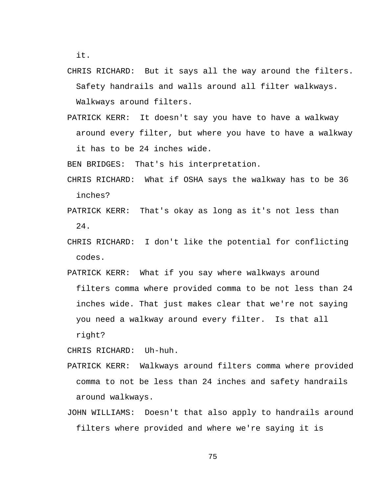it.

CHRIS RICHARD: But it says all the way around the filters. Safety handrails and walls around all filter walkways.

Walkways around filters.

PATRICK KERR: It doesn't say you have to have a walkway around every filter, but where you have to have a walkway it has to be 24 inches wide.

BEN BRIDGES: That's his interpretation.

- CHRIS RICHARD: What if OSHA says the walkway has to be 36 inches?
- PATRICK KERR: That's okay as long as it's not less than 24.
- CHRIS RICHARD: I don't like the potential for conflicting codes.
- PATRICK KERR: What if you say where walkways around filters comma where provided comma to be not less than 24 inches wide. That just makes clear that we're not saying you need a walkway around every filter. Is that all right?

CHRIS RICHARD: Uh-huh.

- PATRICK KERR: Walkways around filters comma where provided comma to not be less than 24 inches and safety handrails around walkways.
- JOHN WILLIAMS: Doesn't that also apply to handrails around filters where provided and where we're saying it is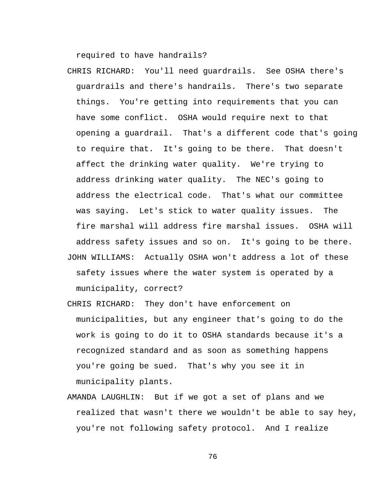required to have handrails?

- CHRIS RICHARD: You'll need guardrails. See OSHA there's guardrails and there's handrails. There's two separate things. You're getting into requirements that you can have some conflict. OSHA would require next to that opening a guardrail. That's a different code that's going to require that. It's going to be there. That doesn't affect the drinking water quality. We're trying to address drinking water quality. The NEC's going to address the electrical code. That's what our committee was saying. Let's stick to water quality issues. The fire marshal will address fire marshal issues. OSHA will address safety issues and so on. It's going to be there. JOHN WILLIAMS: Actually OSHA won't address a lot of these safety issues where the water system is operated by a municipality, correct?
- CHRIS RICHARD: They don't have enforcement on municipalities, but any engineer that's going to do the work is going to do it to OSHA standards because it's a recognized standard and as soon as something happens you're going be sued. That's why you see it in municipality plants.
- AMANDA LAUGHLIN: But if we got a set of plans and we realized that wasn't there we wouldn't be able to say hey, you're not following safety protocol. And I realize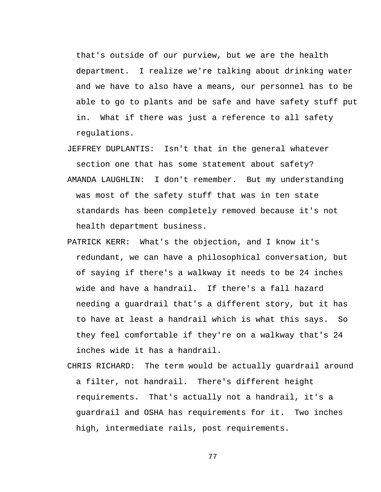that's outside of our purview, but we are the health department. I realize we're talking about drinking water and we have to also have a means, our personnel has to be able to go to plants and be safe and have safety stuff put in. What if there was just a reference to all safety regulations.

- JEFFREY DUPLANTIS: Isn't that in the general whatever section one that has some statement about safety? AMANDA LAUGHLIN: I don't remember. But my understanding was most of the safety stuff that was in ten state standards has been completely removed because it's not health department business.
- PATRICK KERR: What's the objection, and I know it's redundant, we can have a philosophical conversation, but of saying if there's a walkway it needs to be 24 inches wide and have a handrail. If there's a fall hazard needing a guardrail that's a different story, but it has to have at least a handrail which is what this says. So they feel comfortable if they're on a walkway that's 24 inches wide it has a handrail.
- CHRIS RICHARD: The term would be actually guardrail around a filter, not handrail. There's different height requirements. That's actually not a handrail, it's a guardrail and OSHA has requirements for it. Two inches high, intermediate rails, post requirements.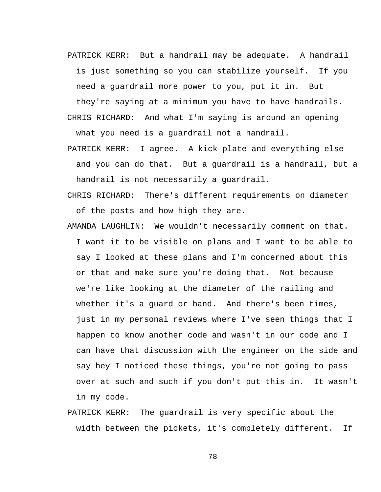PATRICK KERR: But a handrail may be adequate. A handrail is just something so you can stabilize yourself. If you need a guardrail more power to you, put it in. But

they're saying at a minimum you have to have handrails. CHRIS RICHARD: And what I'm saying is around an opening what you need is a guardrail not a handrail.

- PATRICK KERR: I agree. A kick plate and everything else and you can do that. But a guardrail is a handrail, but a handrail is not necessarily a guardrail.
- CHRIS RICHARD: There's different requirements on diameter of the posts and how high they are.
- AMANDA LAUGHLIN: We wouldn't necessarily comment on that. I want it to be visible on plans and I want to be able to say I looked at these plans and I'm concerned about this or that and make sure you're doing that. Not because we're like looking at the diameter of the railing and whether it's a quard or hand. And there's been times, just in my personal reviews where I've seen things that I happen to know another code and wasn't in our code and I can have that discussion with the engineer on the side and say hey I noticed these things, you're not going to pass over at such and such if you don't put this in. It wasn't in my code.
- PATRICK KERR: The guardrail is very specific about the width between the pickets, it's completely different. If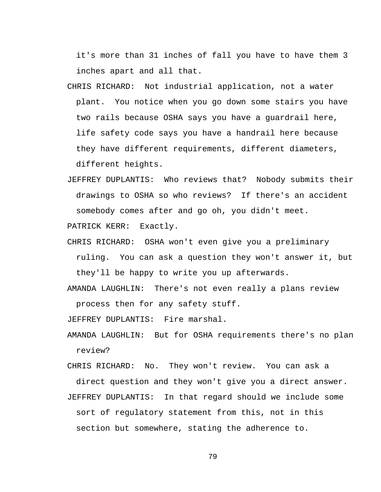it's more than 31 inches of fall you have to have them 3 inches apart and all that.

- CHRIS RICHARD: Not industrial application, not a water plant. You notice when you go down some stairs you have two rails because OSHA says you have a guardrail here, life safety code says you have a handrail here because they have different requirements, different diameters, different heights.
- JEFFREY DUPLANTIS: Who reviews that? Nobody submits their drawings to OSHA so who reviews? If there's an accident somebody comes after and go oh, you didn't meet.

PATRICK KERR: Exactly.

- CHRIS RICHARD: OSHA won't even give you a preliminary ruling. You can ask a question they won't answer it, but they'll be happy to write you up afterwards.
- AMANDA LAUGHLIN: There's not even really a plans review process then for any safety stuff.

JEFFREY DUPLANTIS: Fire marshal.

- AMANDA LAUGHLIN: But for OSHA requirements there's no plan review?
- CHRIS RICHARD: No. They won't review. You can ask a direct question and they won't give you a direct answer. JEFFREY DUPLANTIS: In that regard should we include some sort of regulatory statement from this, not in this section but somewhere, stating the adherence to.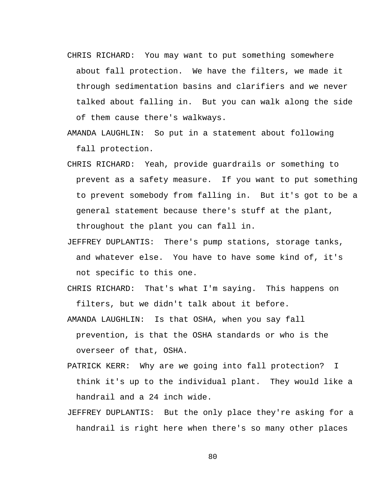- CHRIS RICHARD: You may want to put something somewhere about fall protection. We have the filters, we made it through sedimentation basins and clarifiers and we never talked about falling in. But you can walk along the side of them cause there's walkways.
- AMANDA LAUGHLIN: So put in a statement about following fall protection.
- CHRIS RICHARD: Yeah, provide guardrails or something to prevent as a safety measure. If you want to put something to prevent somebody from falling in. But it's got to be a general statement because there's stuff at the plant, throughout the plant you can fall in.
- JEFFREY DUPLANTIS: There's pump stations, storage tanks, and whatever else. You have to have some kind of, it's not specific to this one.
- CHRIS RICHARD: That's what I'm saying. This happens on filters, but we didn't talk about it before.
- AMANDA LAUGHLIN: Is that OSHA, when you say fall prevention, is that the OSHA standards or who is the overseer of that, OSHA.
- PATRICK KERR: Why are we going into fall protection? I think it's up to the individual plant. They would like a handrail and a 24 inch wide.
- JEFFREY DUPLANTIS: But the only place they're asking for a handrail is right here when there's so many other places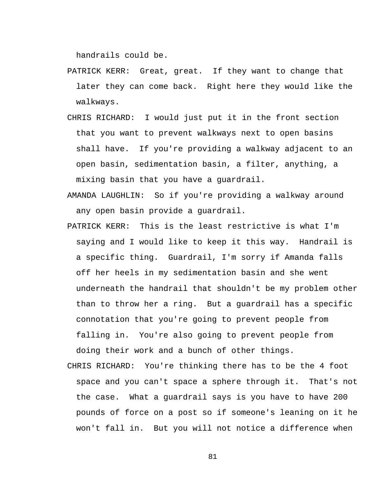handrails could be.

- PATRICK KERR: Great, great. If they want to change that later they can come back. Right here they would like the walkways.
- CHRIS RICHARD: I would just put it in the front section that you want to prevent walkways next to open basins shall have. If you're providing a walkway adjacent to an open basin, sedimentation basin, a filter, anything, a mixing basin that you have a guardrail.
- AMANDA LAUGHLIN: So if you're providing a walkway around any open basin provide a guardrail.
- PATRICK KERR: This is the least restrictive is what I'm saying and I would like to keep it this way. Handrail is a specific thing. Guardrail, I'm sorry if Amanda falls off her heels in my sedimentation basin and she went underneath the handrail that shouldn't be my problem other than to throw her a ring. But a guardrail has a specific connotation that you're going to prevent people from falling in. You're also going to prevent people from doing their work and a bunch of other things.
- CHRIS RICHARD: You're thinking there has to be the 4 foot space and you can't space a sphere through it. That's not the case. What a guardrail says is you have to have 200 pounds of force on a post so if someone's leaning on it he won't fall in. But you will not notice a difference when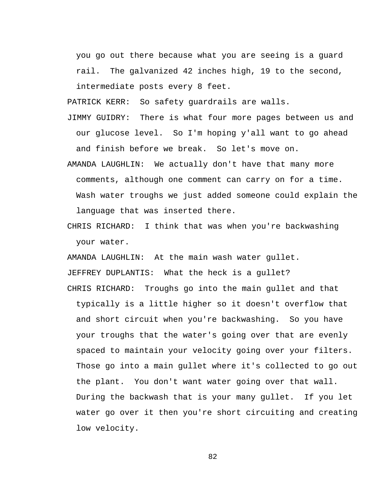you go out there because what you are seeing is a guard rail. The galvanized 42 inches high, 19 to the second, intermediate posts every 8 feet.

PATRICK KERR: So safety guardrails are walls.

- JIMMY GUIDRY: There is what four more pages between us and our glucose level. So I'm hoping y'all want to go ahead and finish before we break. So let's move on.
- AMANDA LAUGHLIN: We actually don't have that many more comments, although one comment can carry on for a time. Wash water troughs we just added someone could explain the language that was inserted there.
- CHRIS RICHARD: I think that was when you're backwashing your water.

AMANDA LAUGHLIN: At the main wash water gullet. JEFFREY DUPLANTIS: What the heck is a gullet?

CHRIS RICHARD: Troughs go into the main gullet and that typically is a little higher so it doesn't overflow that and short circuit when you're backwashing. So you have your troughs that the water's going over that are evenly spaced to maintain your velocity going over your filters. Those go into a main gullet where it's collected to go out the plant. You don't want water going over that wall. During the backwash that is your many gullet. If you let water go over it then you're short circuiting and creating low velocity.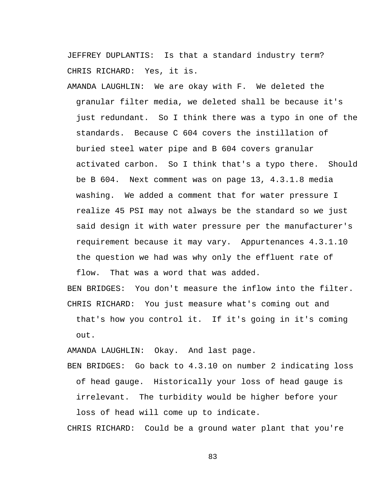JEFFREY DUPLANTIS: Is that a standard industry term? CHRIS RICHARD: Yes, it is.

AMANDA LAUGHLIN: We are okay with F. We deleted the granular filter media, we deleted shall be because it's just redundant. So I think there was a typo in one of the standards. Because C 604 covers the instillation of buried steel water pipe and B 604 covers granular activated carbon. So I think that's a typo there. Should be B 604. Next comment was on page 13, 4.3.1.8 media washing. We added a comment that for water pressure I realize 45 PSI may not always be the standard so we just said design it with water pressure per the manufacturer's requirement because it may vary. Appurtenances 4.3.1.10 the question we had was why only the effluent rate of flow. That was a word that was added.

BEN BRIDGES: You don't measure the inflow into the filter. CHRIS RICHARD: You just measure what's coming out and

that's how you control it. If it's going in it's coming out.

AMANDA LAUGHLIN: Okay. And last page.

BEN BRIDGES: Go back to 4.3.10 on number 2 indicating loss of head gauge. Historically your loss of head gauge is irrelevant. The turbidity would be higher before your loss of head will come up to indicate.

CHRIS RICHARD: Could be a ground water plant that you're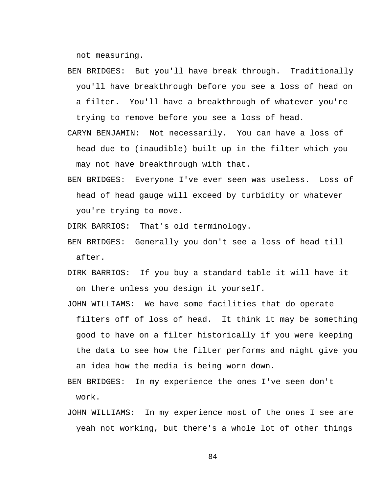not measuring.

- BEN BRIDGES: But you'll have break through. Traditionally you'll have breakthrough before you see a loss of head on a filter. You'll have a breakthrough of whatever you're trying to remove before you see a loss of head.
- CARYN BENJAMIN: Not necessarily. You can have a loss of head due to (inaudible) built up in the filter which you may not have breakthrough with that.
- BEN BRIDGES: Everyone I've ever seen was useless. Loss of head of head gauge will exceed by turbidity or whatever you're trying to move.

DIRK BARRIOS: That's old terminology.

- BEN BRIDGES: Generally you don't see a loss of head till after.
- DIRK BARRIOS: If you buy a standard table it will have it on there unless you design it yourself.
- JOHN WILLIAMS: We have some facilities that do operate filters off of loss of head. It think it may be something good to have on a filter historically if you were keeping the data to see how the filter performs and might give you an idea how the media is being worn down.
- BEN BRIDGES: In my experience the ones I've seen don't work.
- JOHN WILLIAMS: In my experience most of the ones I see are yeah not working, but there's a whole lot of other things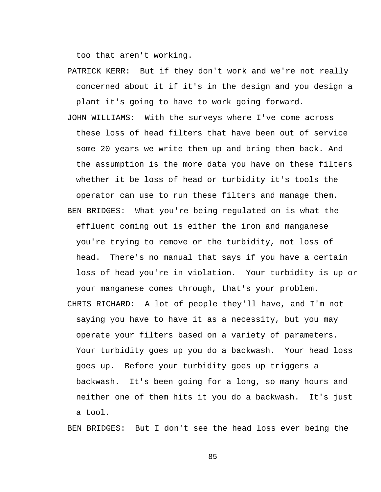too that aren't working.

- PATRICK KERR: But if they don't work and we're not really concerned about it if it's in the design and you design a plant it's going to have to work going forward.
- JOHN WILLIAMS: With the surveys where I've come across these loss of head filters that have been out of service some 20 years we write them up and bring them back. And the assumption is the more data you have on these filters whether it be loss of head or turbidity it's tools the operator can use to run these filters and manage them. BEN BRIDGES: What you're being regulated on is what the effluent coming out is either the iron and manganese you're trying to remove or the turbidity, not loss of head. There's no manual that says if you have a certain loss of head you're in violation. Your turbidity is up or your manganese comes through, that's your problem.
- CHRIS RICHARD: A lot of people they'll have, and I'm not saying you have to have it as a necessity, but you may operate your filters based on a variety of parameters. Your turbidity goes up you do a backwash. Your head loss goes up. Before your turbidity goes up triggers a backwash. It's been going for a long, so many hours and neither one of them hits it you do a backwash. It's just a tool.

BEN BRIDGES: But I don't see the head loss ever being the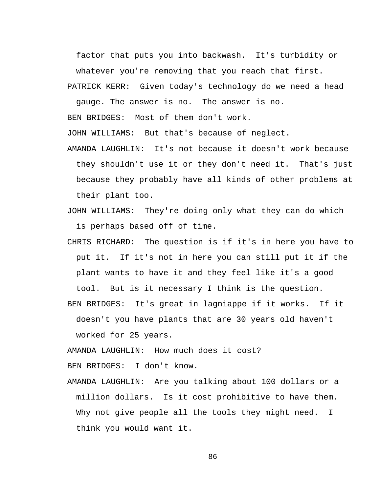factor that puts you into backwash. It's turbidity or whatever you're removing that you reach that first.

PATRICK KERR: Given today's technology do we need a head

gauge. The answer is no. The answer is no.

BEN BRIDGES: Most of them don't work.

JOHN WILLIAMS: But that's because of neglect.

- AMANDA LAUGHLIN: It's not because it doesn't work because they shouldn't use it or they don't need it. That's just because they probably have all kinds of other problems at their plant too.
- JOHN WILLIAMS: They're doing only what they can do which is perhaps based off of time.
- CHRIS RICHARD: The question is if it's in here you have to put it. If it's not in here you can still put it if the plant wants to have it and they feel like it's a good tool. But is it necessary I think is the question.
- BEN BRIDGES: It's great in lagniappe if it works. If it doesn't you have plants that are 30 years old haven't worked for 25 years.

AMANDA LAUGHLIN: How much does it cost?

BEN BRIDGES: I don't know.

AMANDA LAUGHLIN: Are you talking about 100 dollars or a million dollars. Is it cost prohibitive to have them. Why not give people all the tools they might need. I think you would want it.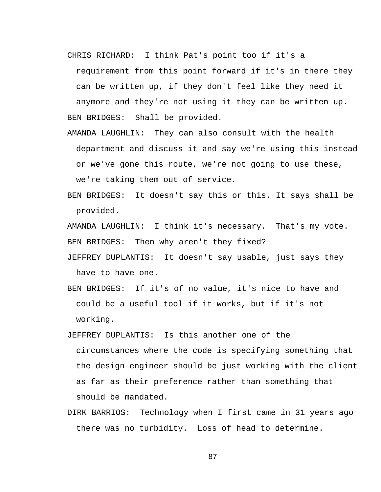CHRIS RICHARD: I think Pat's point too if it's a

requirement from this point forward if it's in there they can be written up, if they don't feel like they need it anymore and they're not using it they can be written up. BEN BRIDGES: Shall be provided.

- AMANDA LAUGHLIN: They can also consult with the health department and discuss it and say we're using this instead or we've gone this route, we're not going to use these, we're taking them out of service.
- BEN BRIDGES: It doesn't say this or this. It says shall be provided.

AMANDA LAUGHLIN: I think it's necessary. That's my vote. BEN BRIDGES: Then why aren't they fixed?

- JEFFREY DUPLANTIS: It doesn't say usable, just says they have to have one.
- BEN BRIDGES: If it's of no value, it's nice to have and could be a useful tool if it works, but if it's not working.
- JEFFREY DUPLANTIS: Is this another one of the circumstances where the code is specifying something that the design engineer should be just working with the client as far as their preference rather than something that should be mandated.
- DIRK BARRIOS: Technology when I first came in 31 years ago there was no turbidity. Loss of head to determine.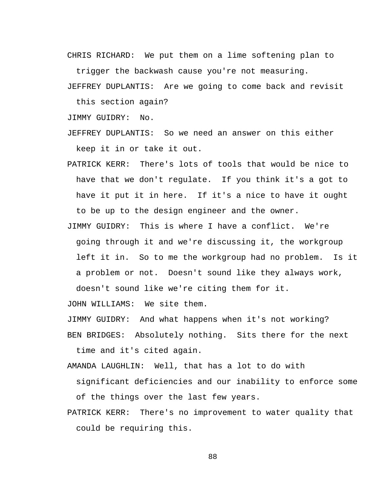CHRIS RICHARD: We put them on a lime softening plan to

trigger the backwash cause you're not measuring.

JEFFREY DUPLANTIS: Are we going to come back and revisit

this section again?

JIMMY GUIDRY: No.

JEFFREY DUPLANTIS: So we need an answer on this either keep it in or take it out.

- PATRICK KERR: There's lots of tools that would be nice to have that we don't regulate. If you think it's a got to have it put it in here. If it's a nice to have it ought to be up to the design engineer and the owner.
- JIMMY GUIDRY: This is where I have a conflict. We're going through it and we're discussing it, the workgroup left it in. So to me the workgroup had no problem. Is it a problem or not. Doesn't sound like they always work,

doesn't sound like we're citing them for it.

JOHN WILLIAMS: We site them.

JIMMY GUIDRY: And what happens when it's not working?

BEN BRIDGES: Absolutely nothing. Sits there for the next time and it's cited again.

AMANDA LAUGHLIN: Well, that has a lot to do with

significant deficiencies and our inability to enforce some of the things over the last few years.

PATRICK KERR: There's no improvement to water quality that could be requiring this.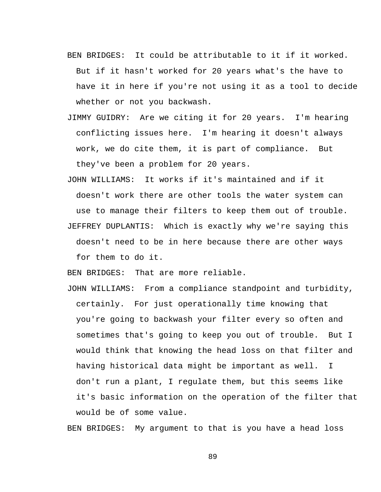- BEN BRIDGES: It could be attributable to it if it worked. But if it hasn't worked for 20 years what's the have to have it in here if you're not using it as a tool to decide whether or not you backwash.
- JIMMY GUIDRY: Are we citing it for 20 years. I'm hearing conflicting issues here. I'm hearing it doesn't always work, we do cite them, it is part of compliance. But they've been a problem for 20 years.
- JOHN WILLIAMS: It works if it's maintained and if it doesn't work there are other tools the water system can use to manage their filters to keep them out of trouble. JEFFREY DUPLANTIS: Which is exactly why we're saying this doesn't need to be in here because there are other ways for them to do it.

BEN BRIDGES: That are more reliable.

JOHN WILLIAMS: From a compliance standpoint and turbidity, certainly. For just operationally time knowing that you're going to backwash your filter every so often and sometimes that's going to keep you out of trouble. But I would think that knowing the head loss on that filter and having historical data might be important as well. I don't run a plant, I regulate them, but this seems like it's basic information on the operation of the filter that would be of some value.

BEN BRIDGES: My argument to that is you have a head loss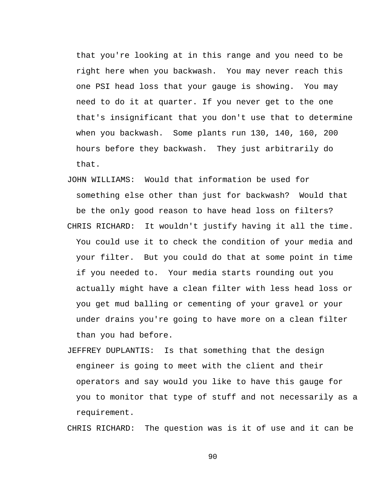that you're looking at in this range and you need to be right here when you backwash. You may never reach this one PSI head loss that your gauge is showing. You may need to do it at quarter. If you never get to the one that's insignificant that you don't use that to determine when you backwash. Some plants run 130, 140, 160, 200 hours before they backwash. They just arbitrarily do that.

- JOHN WILLIAMS: Would that information be used for something else other than just for backwash? Would that be the only good reason to have head loss on filters? CHRIS RICHARD: It wouldn't justify having it all the time.
- You could use it to check the condition of your media and your filter. But you could do that at some point in time if you needed to. Your media starts rounding out you actually might have a clean filter with less head loss or you get mud balling or cementing of your gravel or your under drains you're going to have more on a clean filter than you had before.
- JEFFREY DUPLANTIS: Is that something that the design engineer is going to meet with the client and their operators and say would you like to have this gauge for you to monitor that type of stuff and not necessarily as a requirement.

CHRIS RICHARD: The question was is it of use and it can be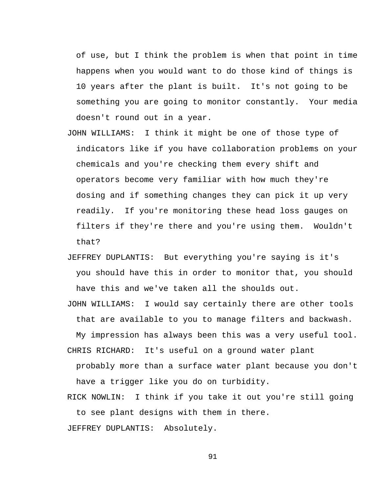of use, but I think the problem is when that point in time happens when you would want to do those kind of things is 10 years after the plant is built. It's not going to be something you are going to monitor constantly. Your media doesn't round out in a year.

- JOHN WILLIAMS: I think it might be one of those type of indicators like if you have collaboration problems on your chemicals and you're checking them every shift and operators become very familiar with how much they're dosing and if something changes they can pick it up very readily. If you're monitoring these head loss gauges on filters if they're there and you're using them. Wouldn't that?
- JEFFREY DUPLANTIS: But everything you're saying is it's you should have this in order to monitor that, you should have this and we've taken all the shoulds out.

JOHN WILLIAMS: I would say certainly there are other tools that are available to you to manage filters and backwash.

My impression has always been this was a very useful tool. CHRIS RICHARD: It's useful on a ground water plant

probably more than a surface water plant because you don't have a trigger like you do on turbidity.

RICK NOWLIN: I think if you take it out you're still going to see plant designs with them in there.

JEFFREY DUPLANTIS: Absolutely.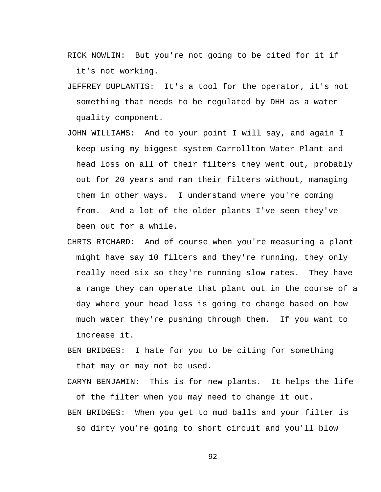- RICK NOWLIN: But you're not going to be cited for it if it's not working.
- JEFFREY DUPLANTIS: It's a tool for the operator, it's not something that needs to be regulated by DHH as a water quality component.
- JOHN WILLIAMS: And to your point I will say, and again I keep using my biggest system Carrollton Water Plant and head loss on all of their filters they went out, probably out for 20 years and ran their filters without, managing them in other ways. I understand where you're coming from. And a lot of the older plants I've seen they've been out for a while.
- CHRIS RICHARD: And of course when you're measuring a plant might have say 10 filters and they're running, they only really need six so they're running slow rates. They have a range they can operate that plant out in the course of a day where your head loss is going to change based on how much water they're pushing through them. If you want to increase it.
- BEN BRIDGES: I hate for you to be citing for something that may or may not be used.

CARYN BENJAMIN: This is for new plants. It helps the life of the filter when you may need to change it out. BEN BRIDGES: When you get to mud balls and your filter is

so dirty you're going to short circuit and you'll blow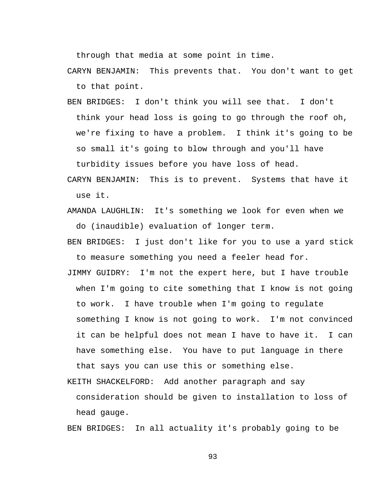through that media at some point in time.

CARYN BENJAMIN: This prevents that. You don't want to get to that point.

BEN BRIDGES: I don't think you will see that. I don't think your head loss is going to go through the roof oh, we're fixing to have a problem. I think it's going to be so small it's going to blow through and you'll have

turbidity issues before you have loss of head.

- CARYN BENJAMIN: This is to prevent. Systems that have it use it.
- AMANDA LAUGHLIN: It's something we look for even when we do (inaudible) evaluation of longer term.
- BEN BRIDGES: I just don't like for you to use a yard stick to measure something you need a feeler head for.
- JIMMY GUIDRY: I'm not the expert here, but I have trouble when I'm going to cite something that I know is not going to work. I have trouble when I'm going to regulate something I know is not going to work. I'm not convinced it can be helpful does not mean I have to have it. I can have something else. You have to put language in there that says you can use this or something else.

KEITH SHACKELFORD: Add another paragraph and say consideration should be given to installation to loss of

head gauge.

BEN BRIDGES: In all actuality it's probably going to be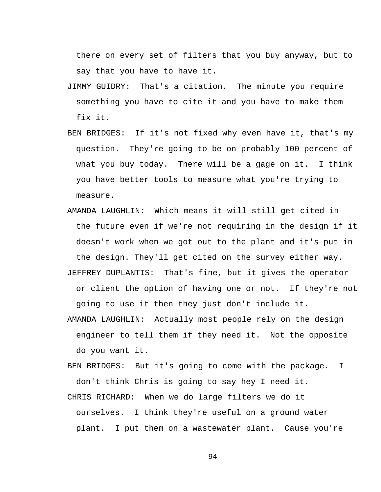there on every set of filters that you buy anyway, but to say that you have to have it.

- JIMMY GUIDRY: That's a citation. The minute you require something you have to cite it and you have to make them fix it.
- BEN BRIDGES: If it's not fixed why even have it, that's my question. They're going to be on probably 100 percent of what you buy today. There will be a gage on it. I think you have better tools to measure what you're trying to measure.
- AMANDA LAUGHLIN: Which means it will still get cited in the future even if we're not requiring in the design if it doesn't work when we got out to the plant and it's put in the design. They'll get cited on the survey either way. JEFFREY DUPLANTIS: That's fine, but it gives the operator or client the option of having one or not. If they're not

going to use it then they just don't include it.

AMANDA LAUGHLIN: Actually most people rely on the design engineer to tell them if they need it. Not the opposite do you want it.

BEN BRIDGES: But it's going to come with the package. I don't think Chris is going to say hey I need it.

CHRIS RICHARD: When we do large filters we do it ourselves. I think they're useful on a ground water plant. I put them on a wastewater plant. Cause you're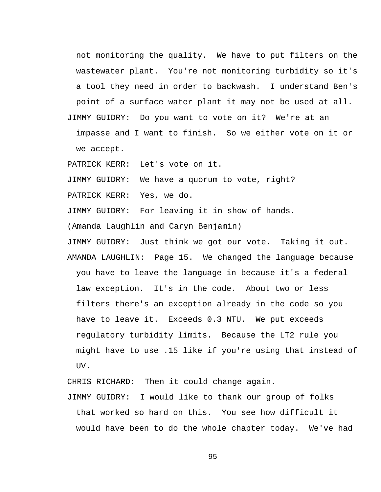not monitoring the quality. We have to put filters on the wastewater plant. You're not monitoring turbidity so it's a tool they need in order to backwash. I understand Ben's point of a surface water plant it may not be used at all. JIMMY GUIDRY: Do you want to vote on it? We're at an

impasse and I want to finish. So we either vote on it or we accept.

PATRICK KERR: Let's vote on it.

JIMMY GUIDRY: We have a quorum to vote, right?

PATRICK KERR: Yes, we do.

JIMMY GUIDRY: For leaving it in show of hands.

(Amanda Laughlin and Caryn Benjamin)

JIMMY GUIDRY: Just think we got our vote. Taking it out. AMANDA LAUGHLIN: Page 15. We changed the language because you have to leave the language in because it's a federal law exception. It's in the code. About two or less filters there's an exception already in the code so you have to leave it. Exceeds 0.3 NTU. We put exceeds regulatory turbidity limits. Because the LT2 rule you might have to use .15 like if you're using that instead of UV.

CHRIS RICHARD: Then it could change again.

JIMMY GUIDRY: I would like to thank our group of folks that worked so hard on this. You see how difficult it would have been to do the whole chapter today. We've had